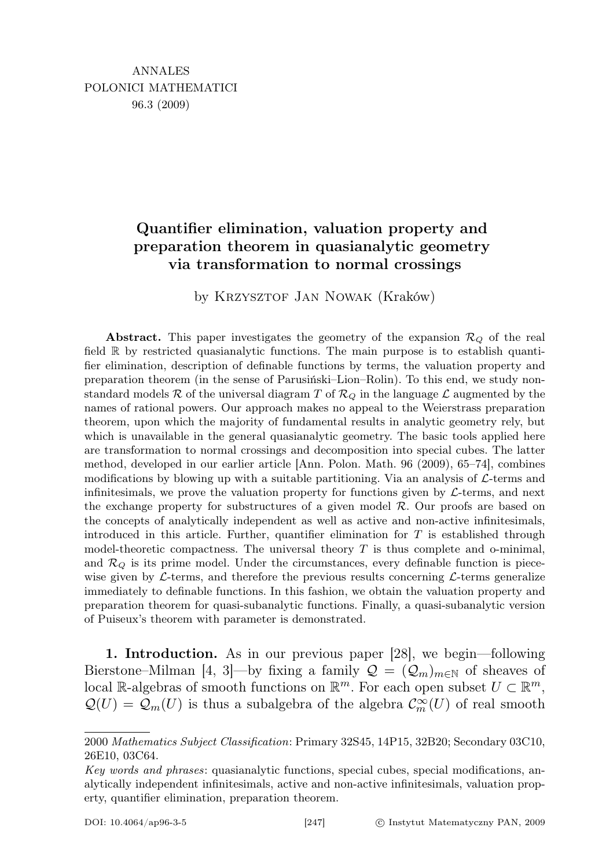## Quantifier elimination, valuation property and preparation theorem in quasianalytic geometry via transformation to normal crossings

by KRZYSZTOF JAN NOWAK (Kraków)

Abstract. This paper investigates the geometry of the expansion  $\mathcal{R}_{Q}$  of the real field R by restricted quasianalytic functions. The main purpose is to establish quantifier elimination, description of definable functions by terms, the valuation property and preparation theorem (in the sense of Parusiński–Lion–Rolin). To this end, we study nonstandard models R of the universal diagram T of  $\mathcal{R}_Q$  in the language L augmented by the names of rational powers. Our approach makes no appeal to the Weierstrass preparation theorem, upon which the majority of fundamental results in analytic geometry rely, but which is unavailable in the general quasianalytic geometry. The basic tools applied here are transformation to normal crossings and decomposition into special cubes. The latter method, developed in our earlier article [Ann. Polon. Math. 96 (2009), 65–74], combines modifications by blowing up with a suitable partitioning. Via an analysis of  $\mathcal{L}$ -terms and infinitesimals, we prove the valuation property for functions given by  $\mathcal{L}\text{-terms}$ , and next the exchange property for substructures of a given model  $R$ . Our proofs are based on the concepts of analytically independent as well as active and non-active infinitesimals, introduced in this article. Further, quantifier elimination for  $T$  is established through model-theoretic compactness. The universal theory  $T$  is thus complete and o-minimal, and  $\mathcal{R}_Q$  is its prime model. Under the circumstances, every definable function is piecewise given by  $\mathcal{L}\text{-terms}$ , and therefore the previous results concerning  $\mathcal{L}\text{-terms}$  generalize immediately to definable functions. In this fashion, we obtain the valuation property and preparation theorem for quasi-subanalytic functions. Finally, a quasi-subanalytic version of Puiseux's theorem with parameter is demonstrated.

1. Introduction. As in our previous paper [28], we begin—following Bierstone–Milman [4, 3]—by fixing a family  $\mathcal{Q} = (\mathcal{Q}_m)_{m \in \mathbb{N}}$  of sheaves of local R-algebras of smooth functions on  $\mathbb{R}^m$ . For each open subset  $U \subset \mathbb{R}^m$ ,  $\mathcal{Q}(U) = \mathcal{Q}_m(U)$  is thus a subalgebra of the algebra  $\mathcal{C}_m^{\infty}(U)$  of real smooth

<sup>2000</sup> Mathematics Subject Classification: Primary 32S45, 14P15, 32B20; Secondary 03C10, 26E10, 03C64.

Key words and phrases: quasianalytic functions, special cubes, special modifications, analytically independent infinitesimals, active and non-active infinitesimals, valuation property, quantifier elimination, preparation theorem.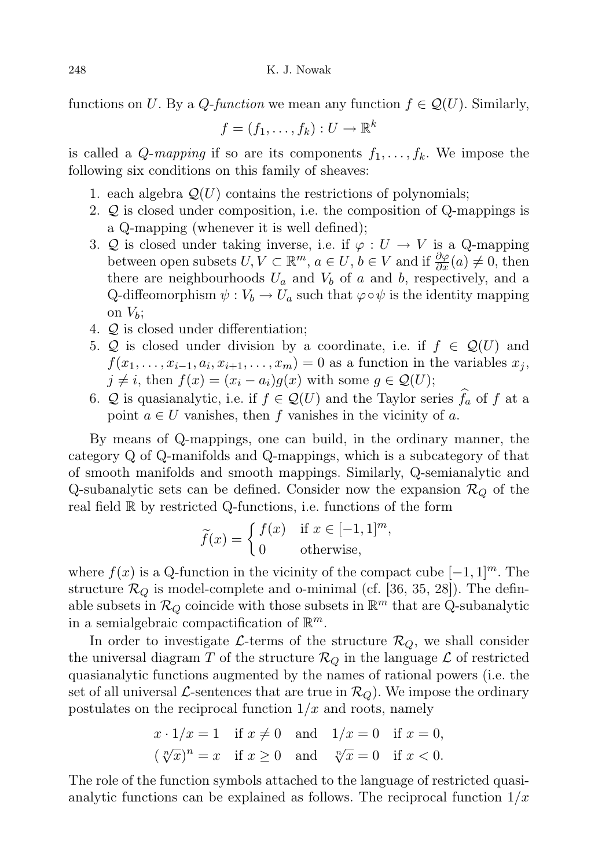functions on U. By a Q-function we mean any function  $f \in \mathcal{Q}(U)$ . Similarly,

$$
f=(f_1,\ldots,f_k):U\to\mathbb{R}^k
$$

is called a *Q-mapping* if so are its components  $f_1, \ldots, f_k$ . We impose the following six conditions on this family of sheaves:

- 1. each algebra  $\mathcal{Q}(U)$  contains the restrictions of polynomials;
- 2. Q is closed under composition, i.e. the composition of Q-mappings is a Q-mapping (whenever it is well defined);
- 3. Q is closed under taking inverse, i.e. if  $\varphi: U \to V$  is a Q-mapping between open subsets  $U, V \subset \mathbb{R}^m$ ,  $a \in U, b \in V$  and if  $\frac{\partial \varphi}{\partial x}(a) \neq 0$ , then there are neighbourhoods  $U_a$  and  $V_b$  of a and b, respectively, and a Q-diffeomorphism  $\psi : V_b \to U_a$  such that  $\varphi \circ \psi$  is the identity mapping on  $V_b$ ;
- 4. Q is closed under differentiation;
- 5. Q is closed under division by a coordinate, i.e. if  $f \in \mathcal{Q}(U)$  and  $f(x_1, \ldots, x_{i-1}, a_i, x_{i+1}, \ldots, x_m) = 0$  as a function in the variables  $x_j$ ,  $j \neq i$ , then  $f(x) = (x_i - a_i)g(x)$  with some  $g \in \mathcal{Q}(U)$ ;
- 6. Q is quasianalytic, i.e. if  $f \in \mathcal{Q}(U)$  and the Taylor series  $\hat{f}_a$  of f at a point  $a \in U$  vanishes, then f vanishes in the vicinity of a.

By means of Q-mappings, one can build, in the ordinary manner, the category Q of Q-manifolds and Q-mappings, which is a subcategory of that of smooth manifolds and smooth mappings. Similarly, Q-semianalytic and Q-subanalytic sets can be defined. Consider now the expansion  $\mathcal{R}_Q$  of the real field R by restricted Q-functions, i.e. functions of the form

$$
\widetilde{f}(x) = \begin{cases} f(x) & \text{if } x \in [-1, 1]^m, \\ 0 & \text{otherwise,} \end{cases}
$$

where  $f(x)$  is a Q-function in the vicinity of the compact cube  $[-1, 1]^m$ . The structure  $\mathcal{R}_Q$  is model-complete and o-minimal (cf. [36, 35, 28]). The definable subsets in  $\mathcal{R}_Q$  coincide with those subsets in  $\mathbb{R}^m$  that are Q-subanalytic in a semialgebraic compactification of  $\mathbb{R}^m$ .

In order to investigate L-terms of the structure  $\mathcal{R}_Q$ , we shall consider the universal diagram T of the structure  $\mathcal{R}_Q$  in the language  $\mathcal L$  of restricted quasianalytic functions augmented by the names of rational powers (i.e. the set of all universal L-sentences that are true in  $\mathcal{R}_Q$ . We impose the ordinary postulates on the reciprocal function  $1/x$  and roots, namely

$$
x \cdot 1/x = 1 \quad \text{if } x \neq 0 \quad \text{and} \quad 1/x = 0 \quad \text{if } x = 0,
$$
  

$$
(\sqrt[n]{x})^n = x \quad \text{if } x \ge 0 \quad \text{and} \quad \sqrt[n]{x} = 0 \quad \text{if } x < 0.
$$

The role of the function symbols attached to the language of restricted quasianalytic functions can be explained as follows. The reciprocal function  $1/x$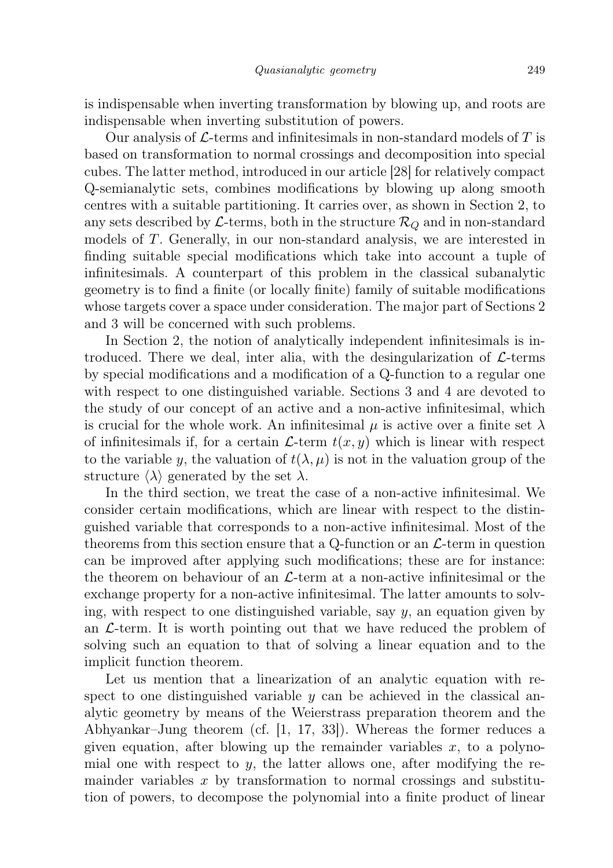is indispensable when inverting transformation by blowing up, and roots are indispensable when inverting substitution of powers.

Our analysis of  $\mathcal{L}$ -terms and infinitesimals in non-standard models of T is based on transformation to normal crossings and decomposition into special cubes. The latter method, introduced in our article [28] for relatively compact Q-semianalytic sets, combines modifications by blowing up along smooth centres with a suitable partitioning. It carries over, as shown in Section 2, to any sets described by L-terms, both in the structure  $\mathcal{R}_O$  and in non-standard models of T. Generally, in our non-standard analysis, we are interested in finding suitable special modifications which take into account a tuple of infinitesimals. A counterpart of this problem in the classical subanalytic geometry is to find a finite (or locally finite) family of suitable modifications whose targets cover a space under consideration. The major part of Sections 2 and 3 will be concerned with such problems.

In Section 2, the notion of analytically independent infinitesimals is introduced. There we deal, inter alia, with the desingularization of  $\mathcal{L}$ -terms by special modifications and a modification of a Q-function to a regular one with respect to one distinguished variable. Sections 3 and 4 are devoted to the study of our concept of an active and a non-active infinitesimal, which is crucial for the whole work. An infinitesimal  $\mu$  is active over a finite set  $\lambda$ of infinitesimals if, for a certain  $\mathcal{L}$ -term  $t(x, y)$  which is linear with respect to the variable y, the valuation of  $t(\lambda, \mu)$  is not in the valuation group of the structure  $\langle \lambda \rangle$  generated by the set  $\lambda$ .

In the third section, we treat the case of a non-active infinitesimal. We consider certain modifications, which are linear with respect to the distinguished variable that corresponds to a non-active infinitesimal. Most of the theorems from this section ensure that a Q-function or an  $\mathcal{L}$ -term in question can be improved after applying such modifications; these are for instance: the theorem on behaviour of an  $\mathcal{L}$ -term at a non-active infinitesimal or the exchange property for a non-active infinitesimal. The latter amounts to solving, with respect to one distinguished variable, say  $y$ , an equation given by an  $\mathcal{L}$ -term. It is worth pointing out that we have reduced the problem of solving such an equation to that of solving a linear equation and to the implicit function theorem.

Let us mention that a linearization of an analytic equation with respect to one distinguished variable  $y$  can be achieved in the classical analytic geometry by means of the Weierstrass preparation theorem and the Abhyankar–Jung theorem (cf. [1, 17, 33]). Whereas the former reduces a given equation, after blowing up the remainder variables  $x$ , to a polynomial one with respect to  $y$ , the latter allows one, after modifying the remainder variables  $x$  by transformation to normal crossings and substitution of powers, to decompose the polynomial into a finite product of linear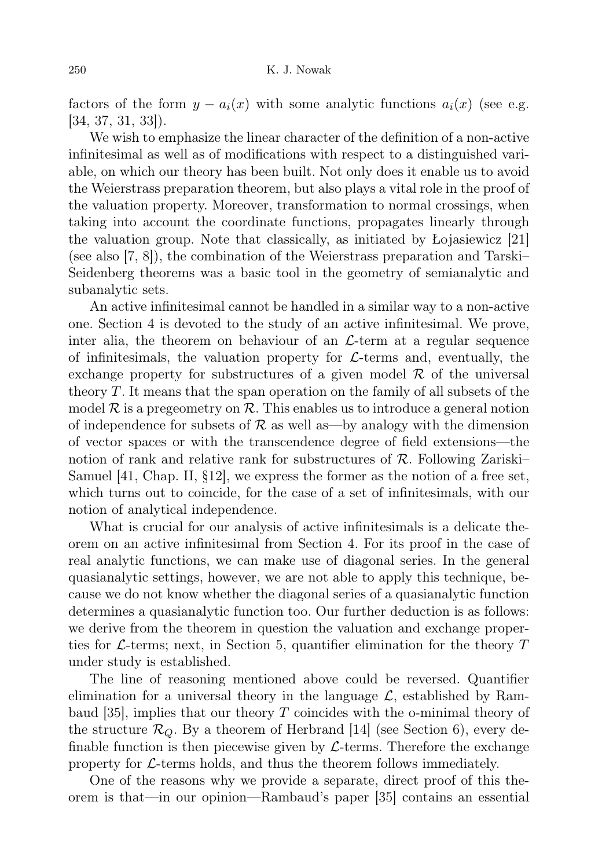factors of the form  $y - a_i(x)$  with some analytic functions  $a_i(x)$  (see e.g. [34, 37, 31, 33]).

We wish to emphasize the linear character of the definition of a non-active infinitesimal as well as of modifications with respect to a distinguished variable, on which our theory has been built. Not only does it enable us to avoid the Weierstrass preparation theorem, but also plays a vital role in the proof of the valuation property. Moreover, transformation to normal crossings, when taking into account the coordinate functions, propagates linearly through the valuation group. Note that classically, as initiated by Łojasiewicz [21] (see also [7, 8]), the combination of the Weierstrass preparation and Tarski– Seidenberg theorems was a basic tool in the geometry of semianalytic and subanalytic sets.

An active infinitesimal cannot be handled in a similar way to a non-active one. Section 4 is devoted to the study of an active infinitesimal. We prove, inter alia, the theorem on behaviour of an  $\mathcal{L}$ -term at a regular sequence of infinitesimals, the valuation property for  $\mathcal{L}$ -terms and, eventually, the exchange property for substructures of a given model  $\mathcal R$  of the universal theory T. It means that the span operation on the family of all subsets of the model  $\mathcal R$  is a pregeometry on  $\mathcal R$ . This enables us to introduce a general notion of independence for subsets of  $\mathcal R$  as well as—by analogy with the dimension of vector spaces or with the transcendence degree of field extensions—the notion of rank and relative rank for substructures of  $\mathcal{R}$ . Following Zariski– Samuel [41, Chap. II, §12], we express the former as the notion of a free set, which turns out to coincide, for the case of a set of infinitesimals, with our notion of analytical independence.

What is crucial for our analysis of active infinitesimals is a delicate theorem on an active infinitesimal from Section 4. For its proof in the case of real analytic functions, we can make use of diagonal series. In the general quasianalytic settings, however, we are not able to apply this technique, because we do not know whether the diagonal series of a quasianalytic function determines a quasianalytic function too. Our further deduction is as follows: we derive from the theorem in question the valuation and exchange properties for  $\mathcal{L}$ -terms; next, in Section 5, quantifier elimination for the theory T under study is established.

The line of reasoning mentioned above could be reversed. Quantifier elimination for a universal theory in the language  $\mathcal{L}$ , established by Rambaud  $[35]$ , implies that our theory T coincides with the o-minimal theory of the structure  $\mathcal{R}_Q$ . By a theorem of Herbrand [14] (see Section 6), every definable function is then piecewise given by  $\mathcal{L}$ -terms. Therefore the exchange property for  $\mathcal{L}$ -terms holds, and thus the theorem follows immediately.

One of the reasons why we provide a separate, direct proof of this theorem is that—in our opinion—Rambaud's paper [35] contains an essential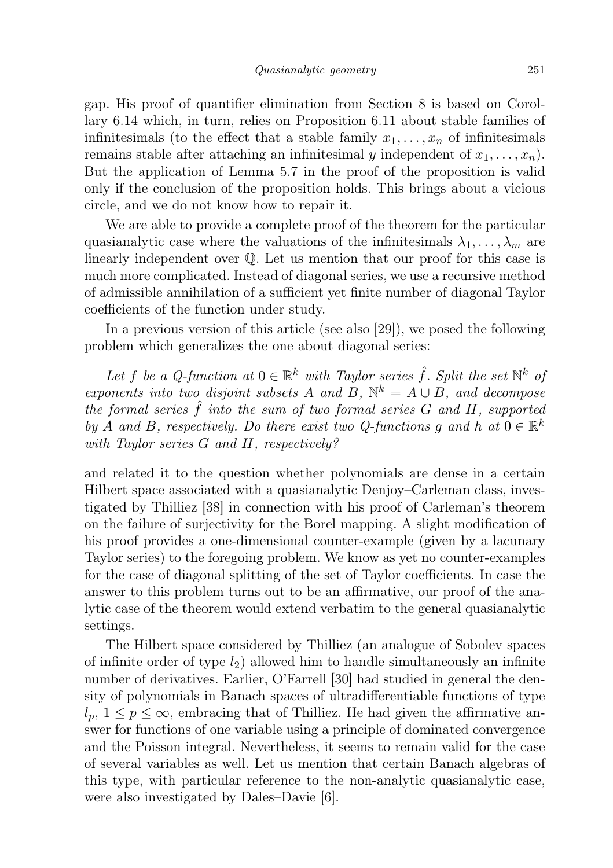gap. His proof of quantifier elimination from Section 8 is based on Corollary 6.14 which, in turn, relies on Proposition 6.11 about stable families of infinitesimals (to the effect that a stable family  $x_1, \ldots, x_n$  of infinitesimals remains stable after attaching an infinitesimal y independent of  $x_1, \ldots, x_n$ . But the application of Lemma 5.7 in the proof of the proposition is valid only if the conclusion of the proposition holds. This brings about a vicious circle, and we do not know how to repair it.

We are able to provide a complete proof of the theorem for the particular quasianalytic case where the valuations of the infinitesimals  $\lambda_1, \ldots, \lambda_m$  are linearly independent over Q. Let us mention that our proof for this case is much more complicated. Instead of diagonal series, we use a recursive method of admissible annihilation of a sufficient yet finite number of diagonal Taylor coefficients of the function under study.

In a previous version of this article (see also [29]), we posed the following problem which generalizes the one about diagonal series:

Let f be a Q-function at  $0 \in \mathbb{R}^k$  with Taylor series  $\hat{f}$ . Split the set  $\mathbb{N}^k$  of exponents into two disjoint subsets A and B,  $\mathbb{N}^k = A \cup B$ , and decompose the formal series  $\hat{f}$  into the sum of two formal series  $G$  and  $H$ , supported by A and B, respectively. Do there exist two Q-functions g and h at  $0 \in \mathbb{R}^k$ with Taylor series G and H, respectively?

and related it to the question whether polynomials are dense in a certain Hilbert space associated with a quasianalytic Denjoy–Carleman class, investigated by Thilliez [38] in connection with his proof of Carleman's theorem on the failure of surjectivity for the Borel mapping. A slight modification of his proof provides a one-dimensional counter-example (given by a lacunary Taylor series) to the foregoing problem. We know as yet no counter-examples for the case of diagonal splitting of the set of Taylor coefficients. In case the answer to this problem turns out to be an affirmative, our proof of the analytic case of the theorem would extend verbatim to the general quasianalytic settings.

The Hilbert space considered by Thilliez (an analogue of Sobolev spaces of infinite order of type  $l_2$ ) allowed him to handle simultaneously an infinite number of derivatives. Earlier, O'Farrell [30] had studied in general the density of polynomials in Banach spaces of ultradifferentiable functions of type  $l_p, 1 \leq p \leq \infty$ , embracing that of Thilliez. He had given the affirmative answer for functions of one variable using a principle of dominated convergence and the Poisson integral. Nevertheless, it seems to remain valid for the case of several variables as well. Let us mention that certain Banach algebras of this type, with particular reference to the non-analytic quasianalytic case, were also investigated by Dales–Davie [6].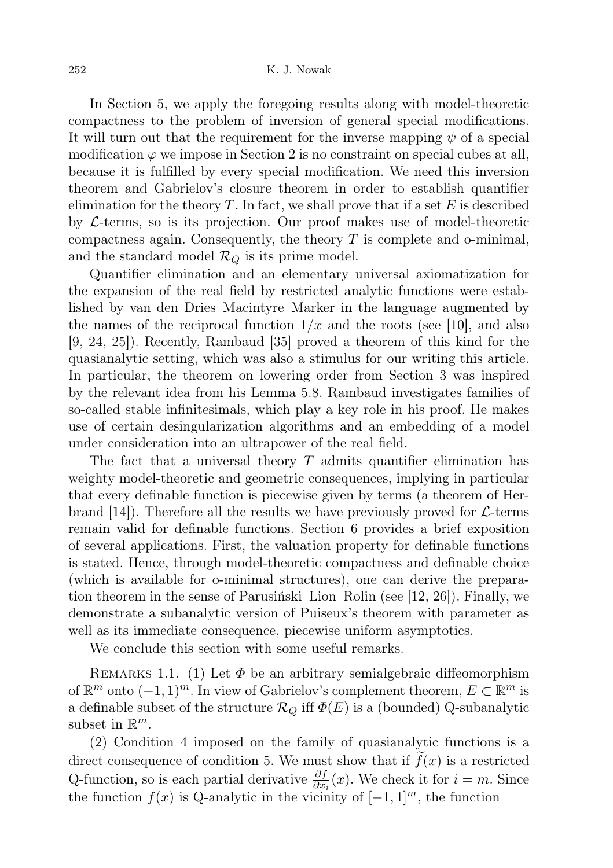In Section 5, we apply the foregoing results along with model-theoretic compactness to the problem of inversion of general special modifications. It will turn out that the requirement for the inverse mapping  $\psi$  of a special modification  $\varphi$  we impose in Section 2 is no constraint on special cubes at all, because it is fulfilled by every special modification. We need this inversion theorem and Gabrielov's closure theorem in order to establish quantifier elimination for the theory  $T$ . In fact, we shall prove that if a set  $E$  is described by  $\mathcal{L}$ -terms, so is its projection. Our proof makes use of model-theoretic compactness again. Consequently, the theory  $T$  is complete and o-minimal, and the standard model  $\mathcal{R}_Q$  is its prime model.

Quantifier elimination and an elementary universal axiomatization for the expansion of the real field by restricted analytic functions were established by van den Dries–Macintyre–Marker in the language augmented by the names of the reciprocal function  $1/x$  and the roots (see [10], and also [9, 24, 25]). Recently, Rambaud [35] proved a theorem of this kind for the quasianalytic setting, which was also a stimulus for our writing this article. In particular, the theorem on lowering order from Section 3 was inspired by the relevant idea from his Lemma 5.8. Rambaud investigates families of so-called stable infinitesimals, which play a key role in his proof. He makes use of certain desingularization algorithms and an embedding of a model under consideration into an ultrapower of the real field.

The fact that a universal theory  $T$  admits quantifier elimination has weighty model-theoretic and geometric consequences, implying in particular that every definable function is piecewise given by terms (a theorem of Herbrand [14]). Therefore all the results we have previously proved for  $\mathcal{L}$ -terms remain valid for definable functions. Section 6 provides a brief exposition of several applications. First, the valuation property for definable functions is stated. Hence, through model-theoretic compactness and definable choice (which is available for o-minimal structures), one can derive the preparation theorem in the sense of Parusiński–Lion–Rolin (see [12, 26]). Finally, we demonstrate a subanalytic version of Puiseux's theorem with parameter as well as its immediate consequence, piecewise uniform asymptotics.

We conclude this section with some useful remarks.

REMARKS 1.1. (1) Let  $\Phi$  be an arbitrary semialgebraic diffeomorphism of  $\mathbb{R}^m$  onto  $(-1, 1)^m$ . In view of Gabrielov's complement theorem,  $E \subset \mathbb{R}^m$  is a definable subset of the structure  $\mathcal{R}_Q$  iff  $\Phi(E)$  is a (bounded) Q-subanalytic subset in  $\mathbb{R}^m$ .

(2) Condition 4 imposed on the family of quasianalytic functions is a direct consequence of condition 5. We must show that if  $f(x)$  is a restricted Q-function, so is each partial derivative  $\frac{\partial f}{\partial x_i}(x)$ . We check it for  $i = m$ . Since the function  $f(x)$  is Q-analytic in the vicinity of  $[-1, 1]^m$ , the function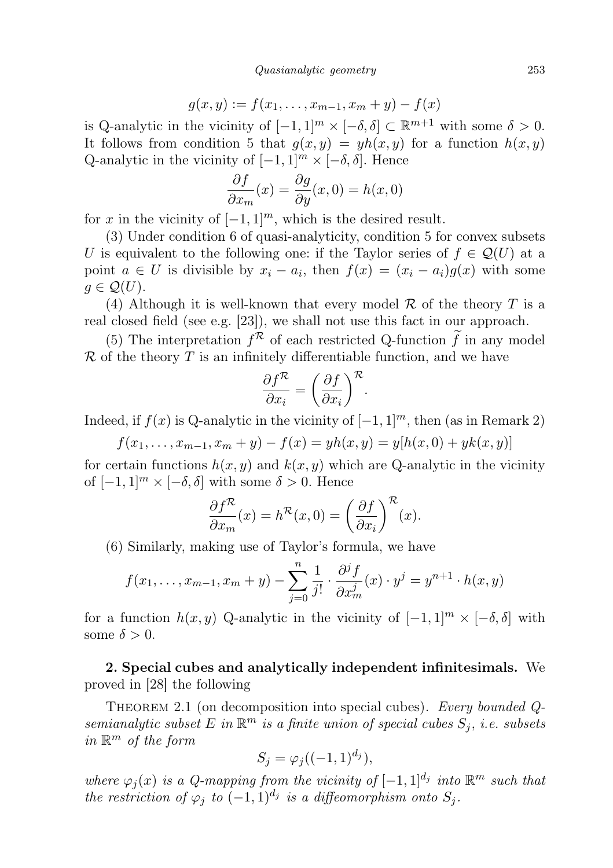$$
g(x, y) := f(x_1, \dots, x_{m-1}, x_m + y) - f(x)
$$

is Q-analytic in the vicinity of  $[-1,1]^m \times [-\delta, \delta] \subset \mathbb{R}^{m+1}$  with some  $\delta > 0$ . It follows from condition 5 that  $g(x, y) = yh(x, y)$  for a function  $h(x, y)$ Q-analytic in the vicinity of  $[-1, 1]^m \times [-\delta, \delta]$ . Hence

$$
\frac{\partial f}{\partial x_m}(x) = \frac{\partial g}{\partial y}(x,0) = h(x,0)
$$

for x in the vicinity of  $[-1, 1]^m$ , which is the desired result.

(3) Under condition 6 of quasi-analyticity, condition 5 for convex subsets U is equivalent to the following one: if the Taylor series of  $f \in \mathcal{Q}(U)$  at a point  $a \in U$  is divisible by  $x_i - a_i$ , then  $f(x) = (x_i - a_i)g(x)$  with some  $q \in \mathcal{Q}(U)$ .

(4) Although it is well-known that every model  $\mathcal R$  of the theory  $T$  is a real closed field (see e.g. [23]), we shall not use this fact in our approach.

(5) The interpretation  $f^{\mathcal{R}}$  of each restricted Q-function  $\tilde{f}$  in any model  $\mathcal R$  of the theory  $T$  is an infinitely differentiable function, and we have

$$
\frac{\partial f^{\mathcal{R}}}{\partial x_i} = \left(\frac{\partial f}{\partial x_i}\right)^{\mathcal{R}}.
$$

Indeed, if  $f(x)$  is Q-analytic in the vicinity of  $[-1, 1]^m$ , then (as in Remark 2)

 $f(x_1, \ldots, x_{m-1}, x_m + y) - f(x) = yh(x, y) = y[h(x, 0) + yk(x, y)]$ 

for certain functions  $h(x, y)$  and  $k(x, y)$  which are Q-analytic in the vicinity of  $[-1, 1]^m \times [-\delta, \delta]$  with some  $\delta > 0$ . Hence

$$
\frac{\partial f^{\mathcal{R}}}{\partial x_m}(x) = h^{\mathcal{R}}(x,0) = \left(\frac{\partial f}{\partial x_i}\right)^{\mathcal{R}}(x).
$$

(6) Similarly, making use of Taylor's formula, we have

$$
f(x_1,...,x_{m-1},x_m + y) - \sum_{j=0}^{n} \frac{1}{j!} \cdot \frac{\partial^j f}{\partial x_m^j}(x) \cdot y^j = y^{n+1} \cdot h(x,y)
$$

for a function  $h(x, y)$  Q-analytic in the vicinity of  $[-1, 1]^m \times [-\delta, \delta]$  with some  $\delta > 0$ .

2. Special cubes and analytically independent infinitesimals. We proved in [28] the following

THEOREM 2.1 (on decomposition into special cubes). Every bounded Qsemianalytic subset E in  $\mathbb{R}^m$  is a finite union of special cubes  $S_j$ , i.e. subsets in  $\mathbb{R}^m$  of the form

$$
S_j = \varphi_j((-1,1)^{d_j}),
$$

where  $\varphi_j(x)$  is a Q-mapping from the vicinity of  $[-1,1]^{d_j}$  into  $\mathbb{R}^m$  such that the restriction of  $\varphi_j$  to  $(-1,1)^{d_j}$  is a diffeomorphism onto  $S_j$ .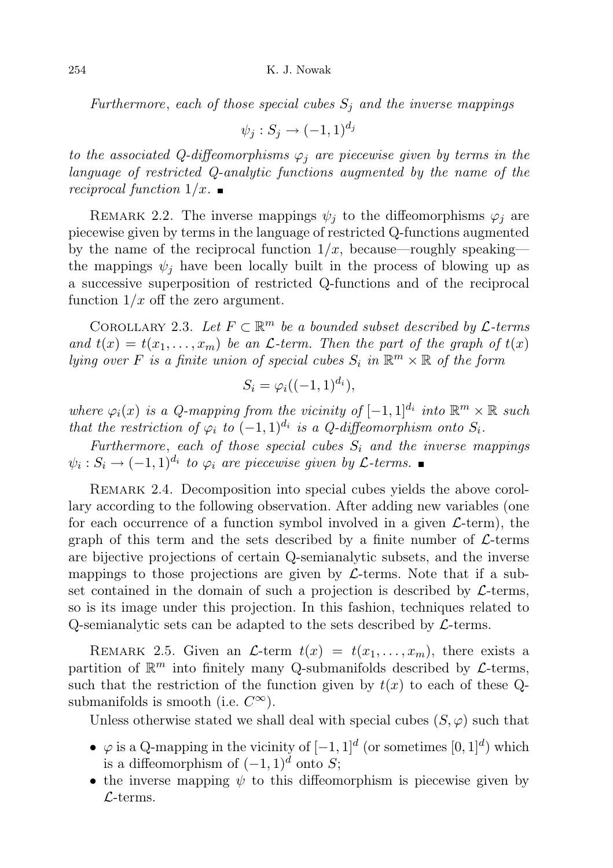Furthermore, each of those special cubes  $S_i$  and the inverse mappings

 $\psi_j : S_j \to (-1,1)^{d_j}$ 

to the associated Q-diffeomorphisms  $\varphi_i$  are piecewise given by terms in the language of restricted Q-analytic functions augmented by the name of the reciprocal function  $1/x$ .

REMARK 2.2. The inverse mappings  $\psi_i$  to the diffeomorphisms  $\varphi_i$  are piecewise given by terms in the language of restricted Q-functions augmented by the name of the reciprocal function  $1/x$ , because—roughly speaking the mappings  $\psi_i$  have been locally built in the process of blowing up as a successive superposition of restricted Q-functions and of the reciprocal function  $1/x$  off the zero argument.

COROLLARY 2.3. Let  $F \subset \mathbb{R}^m$  be a bounded subset described by  $\mathcal{L}$ -terms and  $t(x) = t(x_1, \ldots, x_m)$  be an *L*-term. Then the part of the graph of  $t(x)$ lying over F is a finite union of special cubes  $S_i$  in  $\mathbb{R}^m \times \mathbb{R}$  of the form

$$
S_i = \varphi_i((-1,1)^{d_i}),
$$

where  $\varphi_i(x)$  is a Q-mapping from the vicinity of  $[-1,1]^{d_i}$  into  $\mathbb{R}^m \times \mathbb{R}$  such that the restriction of  $\varphi_i$  to  $(-1,1)^{d_i}$  is a Q-diffeomorphism onto  $S_i$ .

Furthermore, each of those special cubes  $S_i$  and the inverse mappings  $\psi_i: S_i \to (-1,1)^{d_i}$  to  $\varphi_i$  are piecewise given by  $\mathcal{L}$ -terms.

REMARK 2.4. Decomposition into special cubes yields the above corollary according to the following observation. After adding new variables (one for each occurrence of a function symbol involved in a given  $\mathcal{L}\text{-term}$ , the graph of this term and the sets described by a finite number of  $\mathcal{L}$ -terms are bijective projections of certain Q-semianalytic subsets, and the inverse mappings to those projections are given by  $\mathcal{L}$ -terms. Note that if a subset contained in the domain of such a projection is described by  $\mathcal{L}$ -terms, so is its image under this projection. In this fashion, techniques related to Q-semianalytic sets can be adapted to the sets described by  $\mathcal{L}$ -terms.

REMARK 2.5. Given an  $\mathcal{L}$ -term  $t(x) = t(x_1, \ldots, x_m)$ , there exists a partition of  $\mathbb{R}^m$  into finitely many Q-submanifolds described by  $\mathcal{L}$ -terms, such that the restriction of the function given by  $t(x)$  to each of these Qsubmanifolds is smooth (i.e.  $C^{\infty}$ ).

Unless otherwise stated we shall deal with special cubes  $(S, \varphi)$  such that

- $\varphi$  is a Q-mapping in the vicinity of  $[-1,1]^d$  (or sometimes  $[0,1]^d$ ) which is a diffeomorphism of  $(-1, 1)^d$  onto S;
- the inverse mapping  $\psi$  to this diffeomorphism is piecewise given by  $\mathcal{L}$ -terms.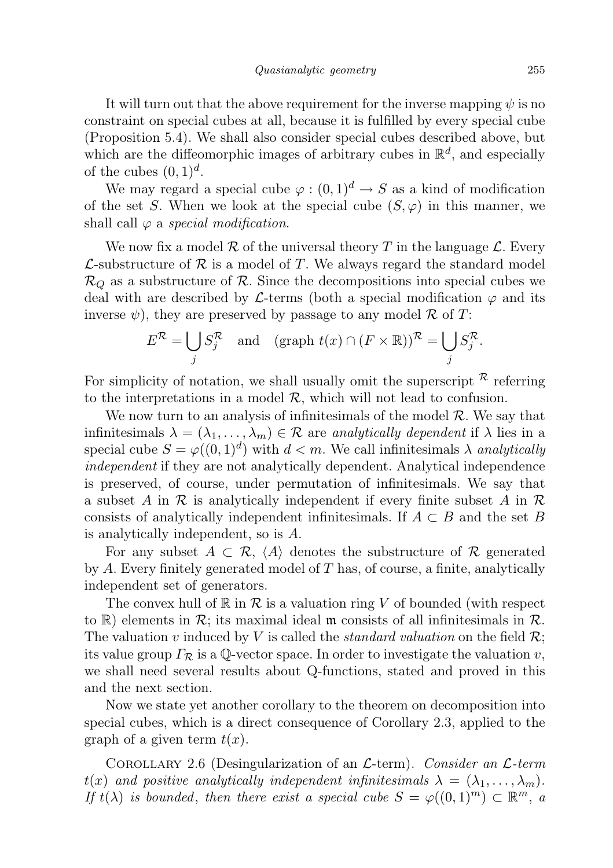It will turn out that the above requirement for the inverse mapping  $\psi$  is no constraint on special cubes at all, because it is fulfilled by every special cube (Proposition 5.4). We shall also consider special cubes described above, but which are the diffeomorphic images of arbitrary cubes in  $\mathbb{R}^d$ , and especially of the cubes  $(0,1)^d$ .

We may regard a special cube  $\varphi : (0,1)^d \to S$  as a kind of modification of the set S. When we look at the special cube  $(S, \varphi)$  in this manner, we shall call  $\varphi$  a special modification.

We now fix a model R of the universal theory T in the language  $\mathcal{L}$ . Every  $\mathcal{L}$ -substructure of  $\mathcal{R}$  is a model of T. We always regard the standard model  $\mathcal{R}_Q$  as a substructure of  $\mathcal{R}$ . Since the decompositions into special cubes we deal with are described by L-terms (both a special modification  $\varphi$  and its inverse  $\psi$ ), they are preserved by passage to any model R of T:

$$
E^{\mathcal{R}} = \bigcup_{j} S_j^{\mathcal{R}} \quad \text{and} \quad (\text{graph } t(x) \cap (F \times \mathbb{R}))^{\mathcal{R}} = \bigcup_{j} S_j^{\mathcal{R}}.
$$

For simplicity of notation, we shall usually omit the superscript  $\kappa$  referring to the interpretations in a model  $\mathcal{R}$ , which will not lead to confusion.

We now turn to an analysis of infinitesimals of the model  $\mathcal{R}$ . We say that infinitesimals  $\lambda = (\lambda_1, \ldots, \lambda_m) \in \mathcal{R}$  are analytically dependent if  $\lambda$  lies in a special cube  $S = \varphi((0, 1)^d)$  with  $d < m$ . We call infinitesimals  $\lambda$  analytically independent if they are not analytically dependent. Analytical independence is preserved, of course, under permutation of infinitesimals. We say that a subset A in  $\mathcal R$  is analytically independent if every finite subset A in  $\mathcal R$ consists of analytically independent infinitesimals. If  $A \subset B$  and the set B is analytically independent, so is A.

For any subset  $A \subset \mathcal{R}$ ,  $\langle A \rangle$  denotes the substructure of  $\mathcal{R}$  generated by  $A$ . Every finitely generated model of  $T$  has, of course, a finite, analytically independent set of generators.

The convex hull of  $\mathbb R$  in  $\mathcal R$  is a valuation ring V of bounded (with respect to R) elements in  $\mathcal{R}$ ; its maximal ideal m consists of all infinitesimals in  $\mathcal{R}$ . The valuation v induced by V is called the *standard valuation* on the field  $\mathcal{R}$ ; its value group  $\Gamma_{\mathcal{R}}$  is a Q-vector space. In order to investigate the valuation v, we shall need several results about Q-functions, stated and proved in this and the next section.

Now we state yet another corollary to the theorem on decomposition into special cubes, which is a direct consequence of Corollary 2.3, applied to the graph of a given term  $t(x)$ .

COROLLARY 2.6 (Desingularization of an  $\mathcal{L}$ -term). Consider an  $\mathcal{L}$ -term  $t(x)$  and positive analytically independent infinitesimals  $\lambda = (\lambda_1, \ldots, \lambda_m)$ . If  $t(\lambda)$  is bounded, then there exist a special cube  $S = \varphi((0,1)^m) \subset \mathbb{R}^m$ , a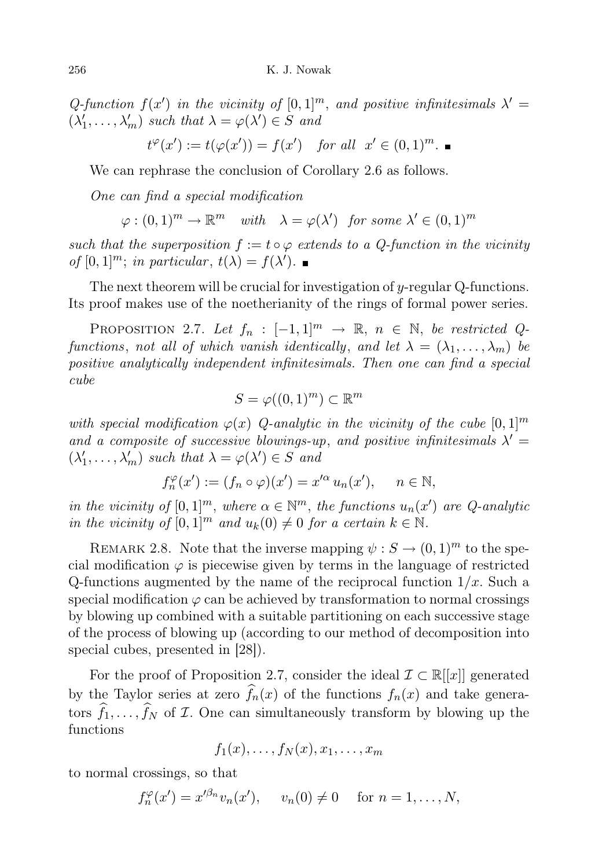Q-function  $f(x')$  in the vicinity of  $[0,1]^m$ , and positive infinitesimals  $\lambda' =$  $(\lambda'_1, \ldots, \lambda'_m)$  such that  $\lambda = \varphi(\lambda') \in S$  and

$$
t^{\varphi}(x') := t(\varphi(x')) = f(x') \quad \text{for all} \ \ x' \in (0,1)^m. \ \blacksquare
$$

We can rephrase the conclusion of Corollary 2.6 as follows.

One can find a special modification

$$
\varphi : (0,1)^m \to \mathbb{R}^m \quad with \quad \lambda = \varphi(\lambda') \quad \text{for some } \lambda' \in (0,1)^m
$$

such that the superposition  $f := t \circ \varphi$  extends to a Q-function in the vicinity of  $[0,1]^m$ ; in particular,  $t(\lambda) = f(\lambda')$ .

The next theorem will be crucial for investigation of  $y$ -regular Q-functions. Its proof makes use of the noetherianity of the rings of formal power series.

PROPOSITION 2.7. Let  $f_n : [-1,1]^m \rightarrow \mathbb{R}, n \in \mathbb{N}$ , be restricted Qfunctions, not all of which vanish identically, and let  $\lambda = (\lambda_1, \ldots, \lambda_m)$  be positive analytically independent infinitesimals. Then one can find a special cube

$$
S = \varphi((0,1)^m) \subset \mathbb{R}^m
$$

with special modification  $\varphi(x)$  Q-analytic in the vicinity of the cube  $[0,1]^m$ and a composite of successive blowings-up, and positive infinitesimals  $\lambda' =$  $(\lambda'_1, \ldots, \lambda'_m)$  such that  $\lambda = \varphi(\lambda') \in S$  and

$$
f_n^{\varphi}(x') := (f_n \circ \varphi)(x') = x'^{\alpha} u_n(x'), \quad n \in \mathbb{N},
$$

in the vicinity of  $[0,1]^m$ , where  $\alpha \in \mathbb{N}^m$ , the functions  $u_n(x')$  are Q-analytic in the vicinity of  $[0, 1]^m$  and  $u_k(0) \neq 0$  for a certain  $k \in \mathbb{N}$ .

REMARK 2.8. Note that the inverse mapping  $\psi : S \to (0,1)^m$  to the special modification  $\varphi$  is piecewise given by terms in the language of restricted Q-functions augmented by the name of the reciprocal function  $1/x$ . Such a special modification  $\varphi$  can be achieved by transformation to normal crossings by blowing up combined with a suitable partitioning on each successive stage of the process of blowing up (according to our method of decomposition into special cubes, presented in [28]).

For the proof of Proposition 2.7, consider the ideal  $\mathcal{I} \subset \mathbb{R}[[x]]$  generated by the Taylor series at zero  $\widehat{f}_n(x)$  of the functions  $f_n(x)$  and take generators  $\widehat{f}_1, \ldots, \widehat{f}_N$  of *I*. One can simultaneously transform by blowing up the functions

$$
f_1(x),\ldots,f_N(x),x_1,\ldots,x_m
$$

to normal crossings, so that

$$
f_n^{\varphi}(x') = x'^{\beta_n} v_n(x'), \quad v_n(0) \neq 0 \quad \text{for } n = 1, \dots, N,
$$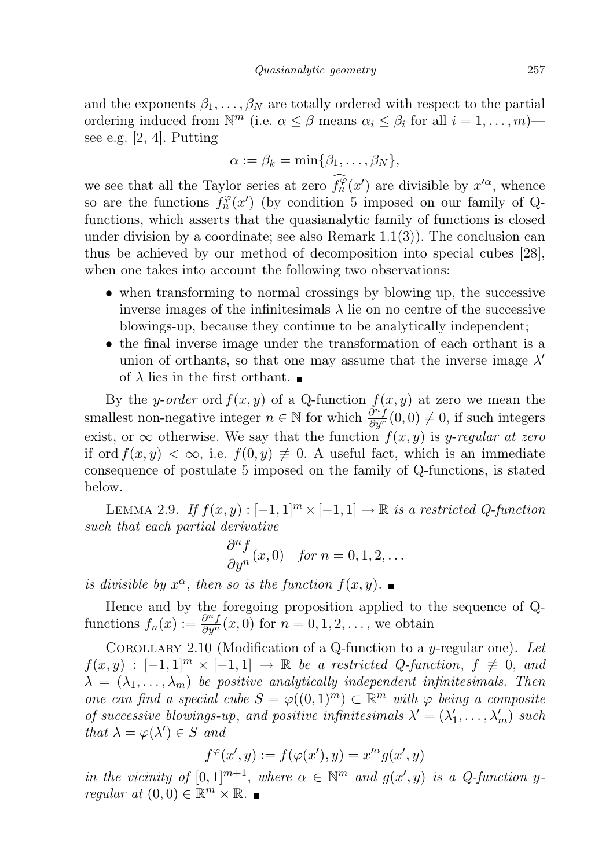and the exponents  $\beta_1, \ldots, \beta_N$  are totally ordered with respect to the partial ordering induced from  $\mathbb{N}^m$  (i.e.  $\alpha \leq \beta$  means  $\alpha_i \leq \beta_i$  for all  $i = 1, \ldots, m$ ) see e.g. [2, 4]. Putting

$$
\alpha := \beta_k = \min\{\beta_1, \dots, \beta_N\},\
$$

we see that all the Taylor series at zero  $\hat{f}_n^{\varphi}(x')$  are divisible by  $x'^{\alpha}$ , whence so are the functions  $f_n^{\varphi}(x')$  (by condition 5 imposed on our family of Qfunctions, which asserts that the quasianalytic family of functions is closed under division by a coordinate; see also Remark  $1.1(3)$ ). The conclusion can thus be achieved by our method of decomposition into special cubes [28], when one takes into account the following two observations:

- when transforming to normal crossings by blowing up, the successive inverse images of the infinitesimals  $\lambda$  lie on no centre of the successive blowings-up, because they continue to be analytically independent;
- the final inverse image under the transformation of each orthant is a union of orthants, so that one may assume that the inverse image  $\lambda'$ of  $\lambda$  lies in the first orthant.

By the y-order ord  $f(x, y)$  of a Q-function  $f(x, y)$  at zero we mean the smallest non-negative integer  $n \in \mathbb{N}$  for which  $\frac{\partial^n f}{\partial y^n}(0,0) \neq 0$ , if such integers exist, or  $\infty$  otherwise. We say that the function  $f(x, y)$  is y-regular at zero if ord  $f(x, y) < \infty$ , i.e.  $f(0, y) \neq 0$ . A useful fact, which is an immediate consequence of postulate 5 imposed on the family of Q-functions, is stated below.

LEMMA 2.9. If  $f(x, y) : [-1, 1]^m \times [-1, 1] \rightarrow \mathbb{R}$  is a restricted Q-function such that each partial derivative

$$
\frac{\partial^n f}{\partial y^n}(x,0) \quad \text{for } n = 0, 1, 2, \dots
$$

is divisible by  $x^{\alpha}$ , then so is the function  $f(x, y)$ .

Hence and by the foregoing proposition applied to the sequence of Qfunctions  $f_n(x) := \frac{\partial^n f}{\partial y^n}(x, 0)$  for  $n = 0, 1, 2, \ldots$ , we obtain

COROLLARY 2.10 (Modification of a Q-function to a y-regular one). Let  $f(x, y) : [-1, 1]^m \times [-1, 1] \rightarrow \mathbb{R}$  be a restricted Q-function,  $f \not\equiv 0$ , and  $\lambda = (\lambda_1, \ldots, \lambda_m)$  be positive analytically independent infinitesimals. Then one can find a special cube  $S = \varphi((0,1)^m) \subset \mathbb{R}^m$  with  $\varphi$  being a composite of successive blowings-up, and positive infinitesimals  $\lambda' = (\lambda'_1, \dots, \lambda'_m)$  such that  $\lambda = \varphi(\lambda') \in S$  and

$$
f^{\varphi}(x',y) := f(\varphi(x'),y) = x'^{\alpha}g(x',y)
$$

in the vicinity of  $[0,1]^{m+1}$ , where  $\alpha \in \mathbb{N}^m$  and  $g(x', y)$  is a Q-function yregular at  $(0,0) \in \mathbb{R}^m \times \mathbb{R}$ .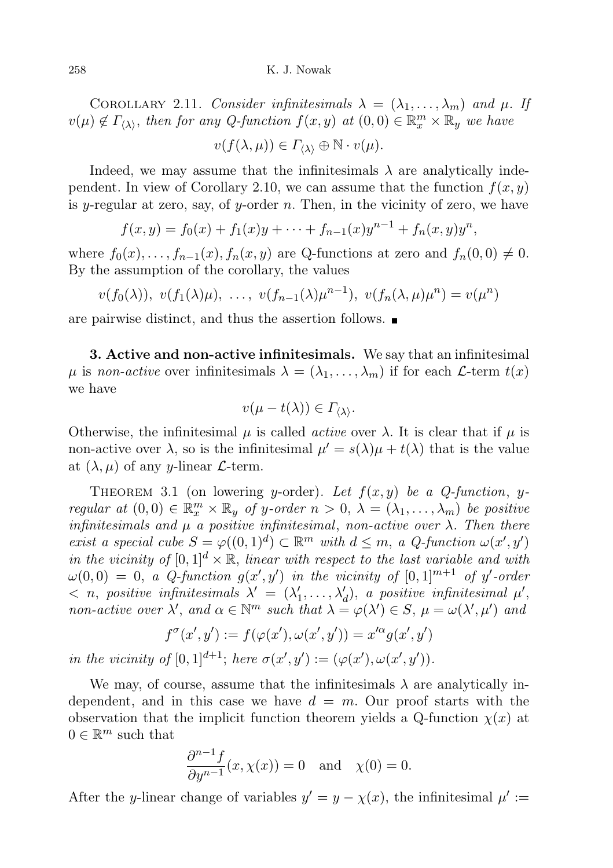COROLLARY 2.11. Consider infinitesimals  $\lambda = (\lambda_1, \dots, \lambda_m)$  and  $\mu$ . If  $v(\mu) \notin \Gamma_{\langle \lambda \rangle}$ , then for any Q-function  $f(x, y)$  at  $(0, 0) \in \mathbb{R}_x^m \times \mathbb{R}_y$  we have

$$
v(f(\lambda,\mu)) \in \Gamma_{\langle\lambda\rangle} \oplus \mathbb{N} \cdot v(\mu).
$$

Indeed, we may assume that the infinitesimals  $\lambda$  are analytically independent. In view of Corollary 2.10, we can assume that the function  $f(x, y)$ is y-regular at zero, say, of y-order n. Then, in the vicinity of zero, we have

$$
f(x,y) = f_0(x) + f_1(x)y + \cdots + f_{n-1}(x)y^{n-1} + f_n(x,y)y^n,
$$

where  $f_0(x), \ldots, f_{n-1}(x), f_n(x, y)$  are Q-functions at zero and  $f_n(0, 0) \neq 0$ . By the assumption of the corollary, the values

$$
v(f_0(\lambda)), v(f_1(\lambda)\mu), \ldots, v(f_{n-1}(\lambda)\mu^{n-1}), v(f_n(\lambda,\mu)\mu^n) = v(\mu^n)
$$

are pairwise distinct, and thus the assertion follows.

3. Active and non-active infinitesimals. We say that an infinitesimal  $\mu$  is non-active over infinitesimals  $\lambda = (\lambda_1, \ldots, \lambda_m)$  if for each  $\mathcal{L}$ -term  $t(x)$ we have

$$
v(\mu - t(\lambda)) \in \Gamma_{\langle \lambda \rangle}.
$$

Otherwise, the infinitesimal  $\mu$  is called *active* over  $\lambda$ . It is clear that if  $\mu$  is non-active over  $\lambda$ , so is the infinitesimal  $\mu' = s(\lambda)\mu + t(\lambda)$  that is the value at  $(\lambda, \mu)$  of any y-linear  $\mathcal{L}$ -term.

THEOREM 3.1 (on lowering y-order). Let  $f(x, y)$  be a Q-function, yregular at  $(0,0) \in \mathbb{R}_x^m \times \mathbb{R}_y$  of y-order  $n > 0$ ,  $\lambda = (\lambda_1, \ldots, \lambda_m)$  be positive infinitesimals and  $\mu$  a positive infinitesimal, non-active over  $\lambda$ . Then there exist a special cube  $S = \varphi((0,1)^d) \subset \mathbb{R}^m$  with  $d \leq m$ , a Q-function  $\omega(x', y')$ in the vicinity of  $[0, 1]^d \times \mathbb{R}$ , linear with respect to the last variable and with  $\omega(0,0) = 0$ , a Q-function  $g(x', y')$  in the vicinity of  $[0,1]^{m+1}$  of y'-order  $\langle n, \text{ positive infinitesimals } \lambda' = (\lambda'_1, \ldots, \lambda'_d), \text{ a positive infinitesimal } \mu',$ non-active over  $\lambda'$ , and  $\alpha \in \mathbb{N}^m$  such that  $\lambda = \varphi(\lambda') \in S$ ,  $\mu = \omega(\lambda', \mu')$  and

$$
f^{\sigma}(x', y') := f(\varphi(x'), \omega(x', y')) = x'^{\alpha} g(x', y')
$$
  
in the vicinity of [0, 1]<sup>d+1</sup>; here  $\sigma(x', y') := (\varphi(x'), \omega(x', y'))$ .

We may, of course, assume that the infinitesimals  $\lambda$  are analytically independent, and in this case we have  $d = m$ . Our proof starts with the observation that the implicit function theorem yields a Q-function  $\chi(x)$  at  $0 \in \mathbb{R}^m$  such that

$$
\frac{\partial^{n-1}f}{\partial y^{n-1}}(x,\chi(x)) = 0 \text{ and } \chi(0) = 0.
$$

After the y-linear change of variables  $y' = y - \chi(x)$ , the infinitesimal  $\mu' :=$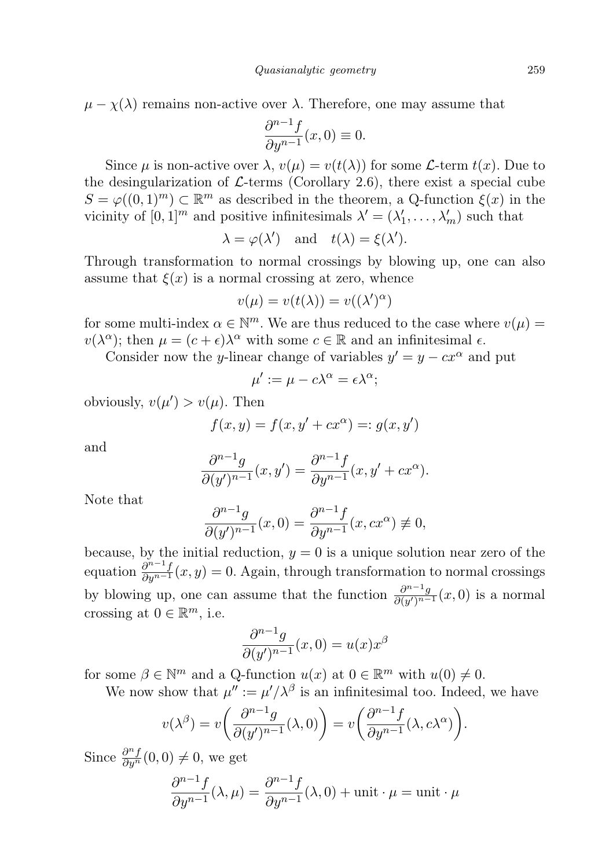$\mu - \chi(\lambda)$  remains non-active over  $\lambda$ . Therefore, one may assume that

$$
\frac{\partial^{n-1}f}{\partial y^{n-1}}(x,0) \equiv 0.
$$

Since  $\mu$  is non-active over  $\lambda$ ,  $v(\mu) = v(t(\lambda))$  for some *L*-term  $t(x)$ . Due to the desingularization of  $\mathcal{L}$ -terms (Corollary 2.6), there exist a special cube  $S = \varphi((0,1)^m) \subset \mathbb{R}^m$  as described in the theorem, a Q-function  $\xi(x)$  in the vicinity of  $[0,1]^m$  and positive infinitesimals  $\lambda' = (\lambda'_1, \ldots, \lambda'_m)$  such that

$$
\lambda = \varphi(\lambda')
$$
 and  $t(\lambda) = \xi(\lambda').$ 

Through transformation to normal crossings by blowing up, one can also assume that  $\xi(x)$  is a normal crossing at zero, whence

$$
v(\mu) = v(t(\lambda)) = v((\lambda')^{\alpha})
$$

for some multi-index  $\alpha \in \mathbb{N}^m$ . We are thus reduced to the case where  $v(\mu)$  $v(\lambda^{\alpha})$ ; then  $\mu = (c + \epsilon)\lambda^{\alpha}$  with some  $c \in \mathbb{R}$  and an infinitesimal  $\epsilon$ .

Consider now the y-linear change of variables  $y' = y - cx^{\alpha}$  and put

$$
\mu' := \mu - c\lambda^{\alpha} = \epsilon \lambda^{\alpha};
$$

obviously,  $v(\mu') > v(\mu)$ . Then

$$
f(x, y) = f(x, y' + cx^{\alpha}) =: g(x, y')
$$

and

$$
\frac{\partial^{n-1}g}{\partial (y')^{n-1}}(x, y') = \frac{\partial^{n-1}f}{\partial y^{n-1}}(x, y' + cx^{\alpha}).
$$

Note that

$$
\frac{\partial^{n-1}g}{\partial (y')^{n-1}}(x,0) = \frac{\partial^{n-1}f}{\partial y^{n-1}}(x,cx^{\alpha}) \neq 0,
$$

because, by the initial reduction,  $y = 0$  is a unique solution near zero of the equation  $\frac{\partial^{n-1} f}{\partial y^{n-1}}(x, y) = 0$ . Again, through transformation to normal crossings by blowing up, one can assume that the function  $\frac{\partial^{n-1}g}{\partial (y/n-1)}$  $\frac{\partial^{n} g}{\partial (y')^{n-1}}(x,0)$  is a normal crossing at  $0 \in \mathbb{R}^m$ , i.e.

$$
\frac{\partial^{n-1}g}{\partial (y')^{n-1}}(x,0) = u(x)x^{\beta}
$$

for some  $\beta \in \mathbb{N}^m$  and a Q-function  $u(x)$  at  $0 \in \mathbb{R}^m$  with  $u(0) \neq 0$ .

We now show that  $\mu'' := \mu'/\lambda^{\beta}$  is an infinitesimal too. Indeed, we have

$$
v(\lambda^{\beta}) = v\left(\frac{\partial^{n-1}g}{\partial(y')^{n-1}}(\lambda,0)\right) = v\left(\frac{\partial^{n-1}f}{\partial y^{n-1}}(\lambda,c\lambda^{\alpha})\right).
$$

Since  $\frac{\partial^n f}{\partial y^n}(0,0) \neq 0$ , we get

$$
\frac{\partial^{n-1} f}{\partial y^{n-1}}(\lambda, \mu) = \frac{\partial^{n-1} f}{\partial y^{n-1}}(\lambda, 0) + \text{unit} \cdot \mu = \text{unit} \cdot \mu
$$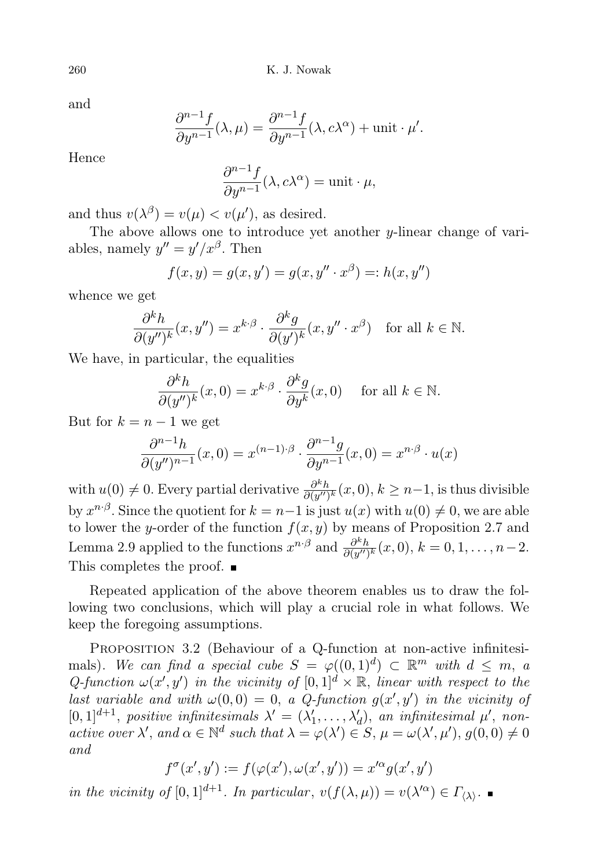and

$$
\frac{\partial^{n-1} f}{\partial y^{n-1}}(\lambda, \mu) = \frac{\partial^{n-1} f}{\partial y^{n-1}}(\lambda, c\lambda^{\alpha}) + \text{unit} \cdot \mu'.
$$

Hence

$$
\frac{\partial^{n-1}f}{\partial y^{n-1}}(\lambda, c\lambda^{\alpha}) = \text{unit} \cdot \mu,
$$

and thus  $v(\lambda^{\beta}) = v(\mu) < v(\mu')$ , as desired.

The above allows one to introduce yet another  $y$ -linear change of variables, namely  $y'' = y'/x^{\beta}$ . Then

$$
f(x, y) = g(x, y') = g(x, y'' \cdot x^{\beta}) =: h(x, y'')
$$

whence we get

$$
\frac{\partial^k h}{\partial (y'')^k}(x, y'') = x^{k \cdot \beta} \cdot \frac{\partial^k g}{\partial (y')^k}(x, y'' \cdot x^{\beta}) \text{ for all } k \in \mathbb{N}.
$$

We have, in particular, the equalities

$$
\frac{\partial^k h}{\partial (y'')^k}(x,0) = x^{k \cdot \beta} \cdot \frac{\partial^k g}{\partial y^k}(x,0) \quad \text{ for all } k \in \mathbb{N}.
$$

But for  $k = n - 1$  we get

$$
\frac{\partial^{n-1}h}{\partial (y'')^{n-1}}(x,0) = x^{(n-1)\cdot\beta} \cdot \frac{\partial^{n-1}g}{\partial y^{n-1}}(x,0) = x^{n\cdot\beta} \cdot u(x)
$$

with  $u(0) \neq 0$ . Every partial derivative  $\frac{\partial^k h}{\partial (u'')}$  $\frac{\partial^n h}{\partial (y'')^k}(x,0), k \geq n-1$ , is thus divisible by  $x^{n \cdot \beta}$ . Since the quotient for  $k = n-1$  is just  $u(x)$  with  $u(0) \neq 0$ , we are able to lower the y-order of the function  $f(x, y)$  by means of Proposition 2.7 and Lemma 2.9 applied to the functions  $x^{n \cdot \beta}$  and  $\frac{\partial^k h}{\partial (y^n)}$  $\frac{\partial^{\kappa}h}{\partial(y'')^k}(x,0), k = 0,1,\ldots,n-2.$ This completes the proof.  $\blacksquare$ 

Repeated application of the above theorem enables us to draw the following two conclusions, which will play a crucial role in what follows. We keep the foregoing assumptions.

PROPOSITION 3.2 (Behaviour of a Q-function at non-active infinitesimals). We can find a special cube  $S = \varphi((0,1)^d) \subset \mathbb{R}^m$  with  $d \leq m$ , a Q-function  $\omega(x', y')$  in the vicinity of  $[0, 1]^d \times \mathbb{R}$ , linear with respect to the last variable and with  $\omega(0,0) = 0$ , a Q-function  $g(x', y')$  in the vicinity of [0, 1]<sup>d+1</sup>, positive infinitesimals  $\lambda' = (\lambda'_1, \ldots, \lambda'_d)$ , an infinitesimal  $\mu'$ , nonactive over  $\lambda'$ , and  $\alpha \in \mathbb{N}^d$  such that  $\lambda = \varphi(\lambda') \in S$ ,  $\mu = \omega(\lambda', \mu')$ ,  $g(0, 0) \neq 0$ and

$$
f^{\sigma}(x',y') := f(\varphi(x'), \omega(x',y')) = x'^{\alpha}g(x',y')
$$

in the vicinity of  $[0,1]^{d+1}$ . In particular,  $v(f(\lambda,\mu)) = v(\lambda'^{\alpha}) \in \Gamma_{\langle \lambda \rangle}$ .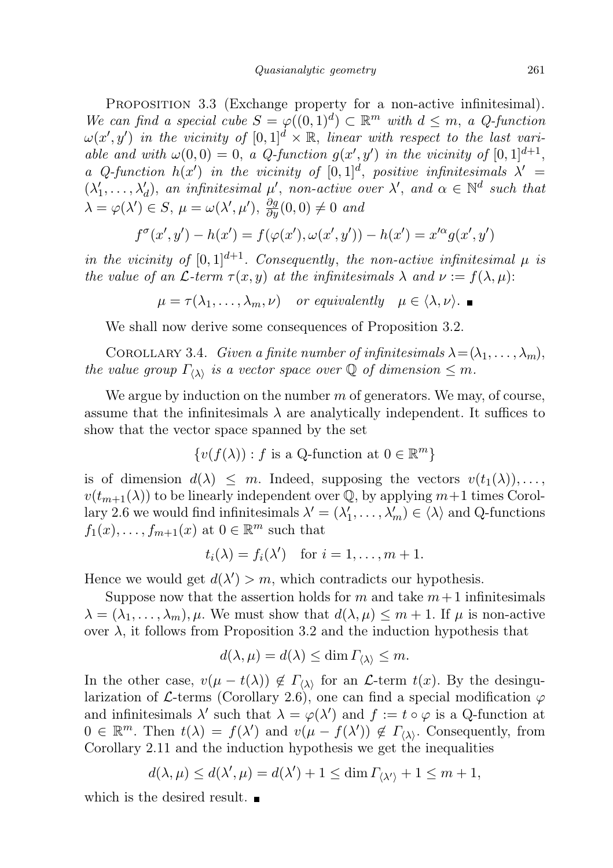PROPOSITION 3.3 (Exchange property for a non-active infinitesimal). We can find a special cube  $S = \varphi((0,1)^d) \subset \mathbb{R}^m$  with  $d \leq m$ , a Q-function  $\omega(x', y')$  in the vicinity of  $[0, 1]^d \times \mathbb{R}$ , linear with respect to the last variable and with  $\omega(0,0) = 0$ , a Q-function  $g(x', y')$  in the vicinity of  $[0,1]^{d+1}$ , a Q-function  $h(x')$  in the vicinity of  $[0,1]^d$ , positive infinitesimals  $\lambda' =$  $(\lambda'_1,\ldots,\lambda'_d)$ , an infinitesimal  $\mu'$ , non-active over  $\lambda'$ , and  $\alpha \in \mathbb{N}^d$  such that  $\lambda = \varphi(\lambda') \in S$ ,  $\mu = \omega(\lambda', \mu')$ ,  $\frac{\partial g}{\partial y}(0, 0) \neq 0$  and

$$
f^{\sigma}(x', y') - h(x') = f(\varphi(x'), \omega(x', y')) - h(x') = x'^{\alpha} g(x', y')
$$

in the vicinity of  $[0, 1]^{d+1}$ . Consequently, the non-active infinitesimal  $\mu$  is the value of an  $\mathcal L$ -term  $\tau(x, y)$  at the infinitesimals  $\lambda$  and  $\nu := f(\lambda, \mu)$ :

$$
\mu = \tau(\lambda_1, \dots, \lambda_m, \nu) \quad or \; equivalently \quad \mu \in \langle \lambda, \nu \rangle.
$$

We shall now derive some consequences of Proposition 3.2.

COROLLARY 3.4. Given a finite number of infinitesimals  $\lambda = (\lambda_1, \ldots, \lambda_m)$ , the value group  $\Gamma_{\langle\lambda\rangle}$  is a vector space over  $\mathbb Q$  of dimension  $\leq m$ .

We argue by induction on the number  $m$  of generators. We may, of course, assume that the infinitesimals  $\lambda$  are analytically independent. It suffices to show that the vector space spanned by the set

$$
\{v(f(\lambda)) : f \text{ is a Q-function at } 0 \in \mathbb{R}^m\}
$$

is of dimension  $d(\lambda) \leq m$ . Indeed, supposing the vectors  $v(t_1(\lambda)), \ldots$  $v(t_{m+1}(\lambda))$  to be linearly independent over Q, by applying  $m+1$  times Corollary 2.6 we would find infinitesimals  $\lambda' = (\lambda'_1, \dots, \lambda'_m) \in \langle \lambda \rangle$  and Q-functions  $f_1(x), \ldots, f_{m+1}(x)$  at  $0 \in \mathbb{R}^m$  such that

$$
t_i(\lambda) = f_i(\lambda')
$$
 for  $i = 1, ..., m + 1$ .

Hence we would get  $d(\lambda') > m$ , which contradicts our hypothesis.

Suppose now that the assertion holds for m and take  $m+1$  infinitesimals  $\lambda = (\lambda_1, \ldots, \lambda_m), \mu$ . We must show that  $d(\lambda, \mu) \leq m + 1$ . If  $\mu$  is non-active over  $\lambda$ , it follows from Proposition 3.2 and the induction hypothesis that

$$
d(\lambda, \mu) = d(\lambda) \le \dim \Gamma_{\langle \lambda \rangle} \le m.
$$

In the other case,  $v(\mu - t(\lambda)) \notin \Gamma_{\langle \lambda \rangle}$  for an  $\mathcal{L}$ -term  $t(x)$ . By the desingularization of L-terms (Corollary 2.6), one can find a special modification  $\varphi$ and infinitesimals  $\lambda'$  such that  $\lambda = \varphi(\lambda')$  and  $f := t \circ \varphi$  is a Q-function at  $0 \in \mathbb{R}^m$ . Then  $t(\lambda) = f(\lambda')$  and  $v(\mu - f(\lambda')) \notin \Gamma_{\langle \lambda \rangle}$ . Consequently, from Corollary 2.11 and the induction hypothesis we get the inequalities

$$
d(\lambda, \mu) \le d(\lambda', \mu) = d(\lambda') + 1 \le \dim \Gamma_{\langle \lambda' \rangle} + 1 \le m + 1,
$$

which is the desired result.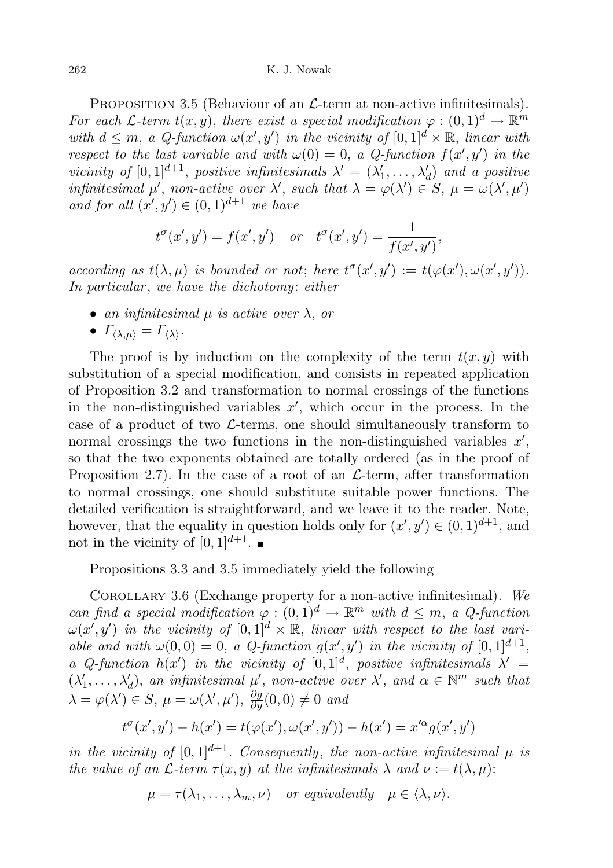262 K. J. Nowak

PROPOSITION 3.5 (Behaviour of an  $\mathcal{L}$ -term at non-active infinitesimals). For each L-term  $t(x, y)$ , there exist a special modification  $\varphi : (0, 1)^d \to \mathbb{R}^m$ with  $d \leq m$ , a Q-function  $\omega(x', y')$  in the vicinity of  $[0, 1]^d \times \mathbb{R}$ , linear with respect to the last variable and with  $\omega(0) = 0$ , a Q-function  $f(x', y')$  in the vicinity of  $[0,1]^{d+1}$ , positive infinitesimals  $\lambda' = (\lambda'_1, \ldots, \lambda'_d)$  and a positive infinitesimal  $\mu'$ , non-active over  $\lambda'$ , such that  $\lambda = \varphi(\lambda') \in S$ ,  $\mu = \omega(\lambda', \mu')$ and for all  $(x', y') \in (0, 1)^{d+1}$  we have

$$
t^{\sigma}(x', y') = f(x', y') \quad or \quad t^{\sigma}(x', y') = \frac{1}{f(x', y')},
$$

according as  $t(\lambda, \mu)$  is bounded or not; here  $t^{\sigma}(x', y') := t(\varphi(x'), \omega(x', y')).$ In particular, we have the dichotomy: either

• an infinitesimal  $\mu$  is active over  $\lambda$ , or

• 
$$
\Gamma_{\langle\lambda,\mu\rangle} = \Gamma_{\langle\lambda\rangle}
$$
.

The proof is by induction on the complexity of the term  $t(x, y)$  with substitution of a special modification, and consists in repeated application of Proposition 3.2 and transformation to normal crossings of the functions in the non-distinguished variables  $x'$ , which occur in the process. In the case of a product of two  $\mathcal{L}$ -terms, one should simultaneously transform to normal crossings the two functions in the non-distinguished variables  $x'$ , so that the two exponents obtained are totally ordered (as in the proof of Proposition 2.7). In the case of a root of an  $\mathcal{L}$ -term, after transformation to normal crossings, one should substitute suitable power functions. The detailed verification is straightforward, and we leave it to the reader. Note, however, that the equality in question holds only for  $(x', y') \in (0, 1)^{d+1}$ , and not in the vicinity of  $[0,1]^{d+1}$ .

Propositions 3.3 and 3.5 immediately yield the following

COROLLARY 3.6 (Exchange property for a non-active infinitesimal). We can find a special modification  $\varphi : (0,1)^d \to \mathbb{R}^m$  with  $d \leq m$ , a Q-function  $\omega(x', y')$  in the vicinity of  $[0, 1]^d \times \mathbb{R}$ , linear with respect to the last variable and with  $\omega(0,0) = 0$ , a Q-function  $g(x', y')$  in the vicinity of  $[0, 1]^{d+1}$ , a Q-function  $h(x')$  in the vicinity of  $[0,1]^d$ , positive infinitesimals  $\lambda' =$  $(\lambda'_1,\ldots,\lambda'_d)$ , an infinitesimal  $\mu'$ , non-active over  $\lambda'$ , and  $\alpha \in \mathbb{N}^m$  such that  $\lambda = \varphi(\lambda') \in S, \ \mu = \omega(\lambda', \mu'), \ \frac{\partial g}{\partial y}(0, 0) \neq 0 \$ and

$$
t^{\sigma}(x',y') - h(x') = t(\varphi(x'), \omega(x',y')) - h(x') = x'^{\alpha}g(x',y')
$$

in the vicinity of  $[0, 1]^{d+1}$ . Consequently, the non-active infinitesimal  $\mu$  is the value of an  $\mathcal{L}$ -term  $\tau(x, y)$  at the infinitesimals  $\lambda$  and  $\nu := t(\lambda, \mu)$ :

$$
\mu = \tau(\lambda_1, \dots, \lambda_m, \nu) \quad or \; equivalently \quad \mu \in \langle \lambda, \nu \rangle.
$$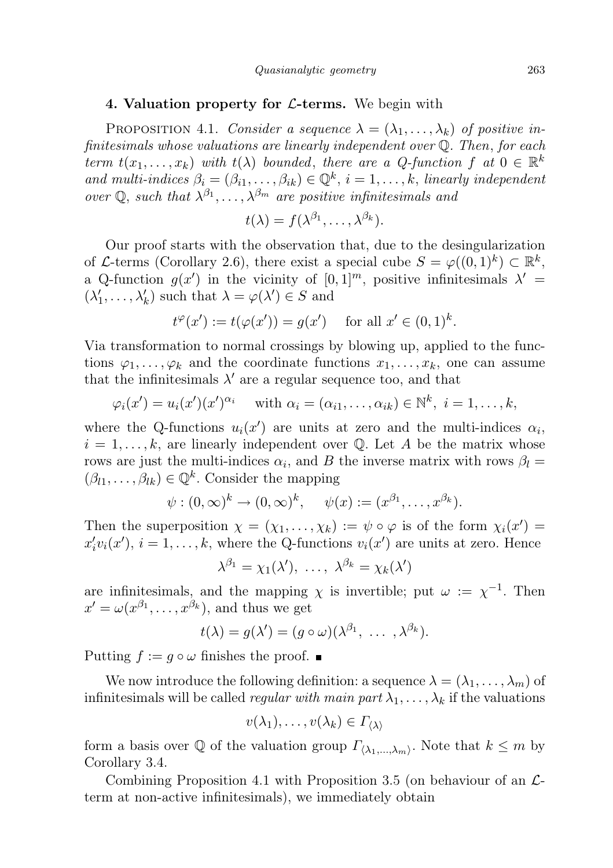## 4. Valuation property for  $\mathcal{L}$ -terms. We begin with

PROPOSITION 4.1. Consider a sequence  $\lambda = (\lambda_1, \dots, \lambda_k)$  of positive infinitesimals whose valuations are linearly independent over Q. Then, for each term  $t(x_1, \ldots, x_k)$  with  $t(\lambda)$  bounded, there are a Q-function f at  $0 \in \mathbb{R}^k$ and multi-indices  $\beta_i = (\beta_{i1}, \ldots, \beta_{ik}) \in \mathbb{Q}^k$ ,  $i = 1, \ldots, k$ , linearly independent over Q, such that  $\lambda^{\beta_1}, \ldots, \lambda^{\beta_m}$  are positive infinitesimals and

$$
t(\lambda)=f(\lambda^{\beta_1},\ldots,\lambda^{\beta_k}).
$$

Our proof starts with the observation that, due to the desingularization of L-terms (Corollary 2.6), there exist a special cube  $S = \varphi((0,1)^k) \subset \mathbb{R}^k$ , a Q-function  $g(x')$  in the vicinity of  $[0,1]^m$ , positive infinitesimals  $\lambda' =$  $(\lambda'_1, \ldots, \lambda'_k)$  such that  $\lambda = \varphi(\lambda') \in S$  and

$$
t^{\varphi}(x') := t(\varphi(x')) = g(x')
$$
 for all  $x' \in (0,1)^k$ .

Via transformation to normal crossings by blowing up, applied to the functions  $\varphi_1, \ldots, \varphi_k$  and the coordinate functions  $x_1, \ldots, x_k$ , one can assume that the infinitesimals  $\lambda'$  are a regular sequence too, and that

$$
\varphi_i(x') = u_i(x')(x')^{\alpha_i}
$$
 with  $\alpha_i = (\alpha_{i1}, \ldots, \alpha_{ik}) \in \mathbb{N}^k$ ,  $i = 1, \ldots, k$ ,

where the Q-functions  $u_i(x')$  are units at zero and the multi-indices  $\alpha_i$ ,  $i = 1, \ldots, k$ , are linearly independent over Q. Let A be the matrix whose rows are just the multi-indices  $\alpha_i$ , and B the inverse matrix with rows  $\beta_l =$  $(\beta_{l1}, \ldots, \beta_{lk}) \in \mathbb{Q}^k$ . Consider the mapping

$$
\psi:(0,\infty)^k\to(0,\infty)^k,\quad \psi(x):=(x^{\beta_1},\ldots,x^{\beta_k}).
$$

Then the superposition  $\chi = (\chi_1, \ldots, \chi_k) := \psi \circ \varphi$  is of the form  $\chi_i(x') =$  $x_i'v_i(x')$ ,  $i = 1, ..., k$ , where the Q-functions  $v_i(x')$  are units at zero. Hence

$$
\lambda^{\beta_1} = \chi_1(\lambda'), \ \ldots, \ \lambda^{\beta_k} = \chi_k(\lambda')
$$

are infinitesimals, and the mapping  $\chi$  is invertible; put  $\omega := \chi^{-1}$ . Then  $x' = \omega(x^{\beta_1}, \ldots, x^{\beta_k}),$  and thus we get

$$
t(\lambda)=g(\lambda')=(g\circ\omega)(\lambda^{\beta_1},\ \ldots\ ,\lambda^{\beta_k}).
$$

Putting  $f := g \circ \omega$  finishes the proof.  $\blacksquare$ 

We now introduce the following definition: a sequence  $\lambda = (\lambda_1, \dots, \lambda_m)$  of infinitesimals will be called *regular with main part*  $\lambda_1, \ldots, \lambda_k$  if the valuations

$$
v(\lambda_1),\ldots,v(\lambda_k)\in\Gamma_{\langle\lambda\rangle}
$$

form a basis over Q of the valuation group  $\Gamma_{\langle \lambda_1,...,\lambda_m \rangle}$ . Note that  $k \leq m$  by Corollary 3.4.

Combining Proposition 4.1 with Proposition 3.5 (on behaviour of an  $\mathcal{L}$ term at non-active infinitesimals), we immediately obtain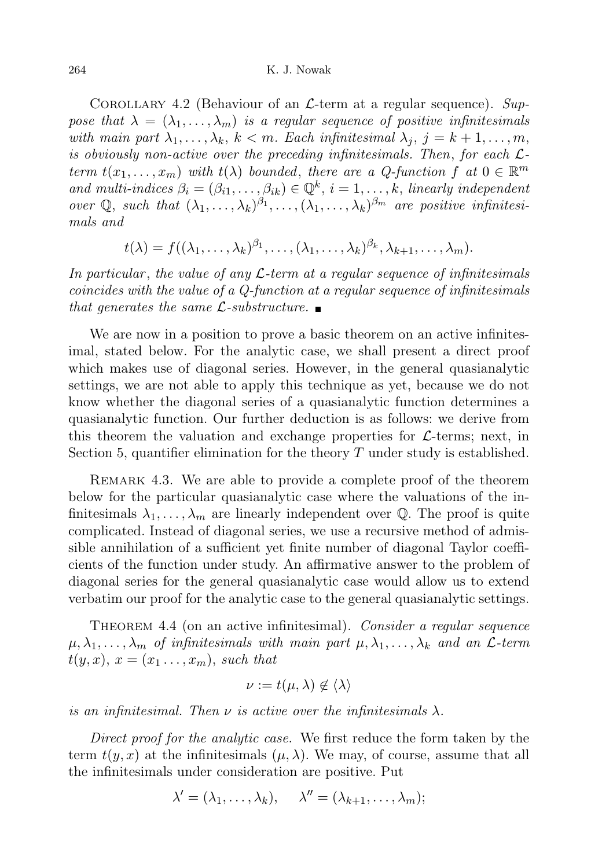COROLLARY 4.2 (Behaviour of an  $\mathcal{L}$ -term at a regular sequence). Suppose that  $\lambda = (\lambda_1, \ldots, \lambda_m)$  is a regular sequence of positive infinitesimals with main part  $\lambda_1, \ldots, \lambda_k, k < m$ . Each infinitesimal  $\lambda_j, j = k+1, \ldots, m$ , is obviously non-active over the preceding infinitesimals. Then, for each  $\mathcal{L}$ term  $t(x_1,...,x_m)$  with  $t(\lambda)$  bounded, there are a Q-function f at  $0 \in \mathbb{R}^m$ and multi-indices  $\beta_i = (\beta_{i1}, \ldots, \beta_{ik}) \in \mathbb{Q}^k$ ,  $i = 1, \ldots, k$ , linearly independent over  $\mathbb{Q}$ , such that  $(\lambda_1, \ldots, \lambda_k)^{\beta_1}, \ldots, (\lambda_1, \ldots, \lambda_k)^{\beta_m}$  are positive infinitesimals and

$$
t(\lambda) = f((\lambda_1,\ldots,\lambda_k)^{\beta_1},\ldots,(\lambda_1,\ldots,\lambda_k)^{\beta_k},\lambda_{k+1},\ldots,\lambda_m).
$$

In particular, the value of any  $\mathcal{L}$ -term at a regular sequence of infinitesimals coincides with the value of a Q-function at a regular sequence of infinitesimals that generates the same  $\mathcal{L}$ -substructure.

We are now in a position to prove a basic theorem on an active infinitesimal, stated below. For the analytic case, we shall present a direct proof which makes use of diagonal series. However, in the general quasianalytic settings, we are not able to apply this technique as yet, because we do not know whether the diagonal series of a quasianalytic function determines a quasianalytic function. Our further deduction is as follows: we derive from this theorem the valuation and exchange properties for  $\mathcal{L}$ -terms; next, in Section 5, quantifier elimination for the theory  $T$  under study is established.

REMARK 4.3. We are able to provide a complete proof of the theorem below for the particular quasianalytic case where the valuations of the infinitesimals  $\lambda_1, \ldots, \lambda_m$  are linearly independent over Q. The proof is quite complicated. Instead of diagonal series, we use a recursive method of admissible annihilation of a sufficient yet finite number of diagonal Taylor coefficients of the function under study. An affirmative answer to the problem of diagonal series for the general quasianalytic case would allow us to extend verbatim our proof for the analytic case to the general quasianalytic settings.

THEOREM 4.4 (on an active infinitesimal). Consider a regular sequence  $\mu, \lambda_1, \ldots, \lambda_m$  of infinitesimals with main part  $\mu, \lambda_1, \ldots, \lambda_k$  and an  $\mathcal{L}$ -term  $t(y, x), x = (x_1 \dots, x_m),$  such that

$$
\nu := t(\mu, \lambda) \notin \langle \lambda \rangle
$$

is an infinitesimal. Then  $\nu$  is active over the infinitesimals  $\lambda$ .

Direct proof for the analytic case. We first reduce the form taken by the term  $t(y, x)$  at the infinitesimals  $(\mu, \lambda)$ . We may, of course, assume that all the infinitesimals under consideration are positive. Put

$$
\lambda' = (\lambda_1, \ldots, \lambda_k), \quad \lambda'' = (\lambda_{k+1}, \ldots, \lambda_m);
$$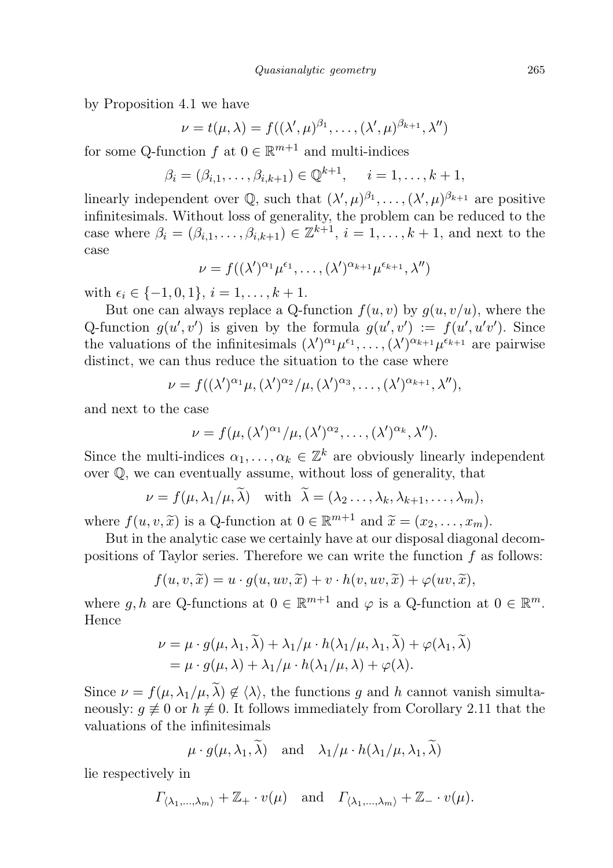by Proposition 4.1 we have

$$
\nu = t(\mu, \lambda) = f((\lambda', \mu)^{\beta_1}, \dots, (\lambda', \mu)^{\beta_{k+1}}, \lambda'')
$$

for some Q-function  $f$  at  $0 \in \mathbb{R}^{m+1}$  and multi-indices

$$
\beta_i = (\beta_{i,1}, \dots, \beta_{i,k+1}) \in \mathbb{Q}^{k+1}, \quad i = 1, \dots, k+1,
$$

linearly independent over  $\mathbb{Q}$ , such that  $(\lambda', \mu)^{\beta_1}, \ldots, (\lambda', \mu)^{\beta_{k+1}}$  are positive infinitesimals. Without loss of generality, the problem can be reduced to the case where  $\beta_i = (\beta_{i,1}, \ldots, \beta_{i,k+1}) \in \mathbb{Z}^{k+1}$ ,  $i = 1, \ldots, k+1$ , and next to the case

$$
\nu = f((\lambda')^{\alpha_1} \mu^{\epsilon_1}, \dots, (\lambda')^{\alpha_{k+1}} \mu^{\epsilon_{k+1}}, \lambda'')
$$

with  $\epsilon_i \in \{-1, 0, 1\}, i = 1, \ldots, k + 1$ .

But one can always replace a Q-function  $f(u, v)$  by  $g(u, v/u)$ , where the Q-function  $g(u', v')$  is given by the formula  $g(u', v') := f(u', u'v')$ . Since the valuations of the infinitesimals  $(\lambda')^{\alpha_1} \mu^{\epsilon_1}, \ldots, (\lambda')^{\alpha_{k+1}} \mu^{\epsilon_{k+1}}$  are pairwise distinct, we can thus reduce the situation to the case where

$$
\nu = f((\lambda')^{\alpha_1}\mu, (\lambda')^{\alpha_2}/\mu, (\lambda')^{\alpha_3}, \dots, (\lambda')^{\alpha_{k+1}}, \lambda''),
$$

and next to the case

$$
\nu = f(\mu, (\lambda')^{\alpha_1}/\mu, (\lambda')^{\alpha_2}, \dots, (\lambda')^{\alpha_k}, \lambda'').
$$

Since the multi-indices  $\alpha_1, \ldots, \alpha_k \in \mathbb{Z}^k$  are obviously linearly independent over Q, we can eventually assume, without loss of generality, that

$$
\nu = f(\mu, \lambda_1/\mu, \lambda) \quad \text{with} \quad \lambda = (\lambda_2 \dots, \lambda_k, \lambda_{k+1}, \dots, \lambda_m),
$$

where  $f(u, v, \tilde{x})$  is a Q-function at  $0 \in \mathbb{R}^{m+1}$  and  $\tilde{x} = (x_2, \ldots, x_m)$ .<br>But in the englistic asse we certainly have at our diaposed diagonal

But in the analytic case we certainly have at our disposal diagonal decompositions of Taylor series. Therefore we can write the function  $f$  as follows:

$$
f(u, v, \widetilde{x}) = u \cdot g(u, uv, \widetilde{x}) + v \cdot h(v, uv, \widetilde{x}) + \varphi(uv, \widetilde{x}),
$$

where g, h are Q-functions at  $0 \in \mathbb{R}^{m+1}$  and  $\varphi$  is a Q-function at  $0 \in \mathbb{R}^m$ . Hence

$$
\nu = \mu \cdot g(\mu, \lambda_1, \lambda) + \lambda_1/\mu \cdot h(\lambda_1/\mu, \lambda_1, \lambda) + \varphi(\lambda_1, \lambda)
$$
  
=  $\mu \cdot g(\mu, \lambda) + \lambda_1/\mu \cdot h(\lambda_1/\mu, \lambda) + \varphi(\lambda).$ 

Since  $\nu = f(\mu, \lambda_1/\mu, \tilde{\lambda}) \notin \langle \lambda \rangle$ , the functions g and h cannot vanish simultaneously:  $g \neq 0$  or  $h \neq 0$ . It follows immediately from Corollary 2.11 that the valuations of the infinitesimals

$$
\mu \cdot g(\mu, \lambda_1, \lambda)
$$
 and  $\lambda_1/\mu \cdot h(\lambda_1/\mu, \lambda_1, \lambda)$ 

lie respectively in

$$
\Gamma_{\langle \lambda_1,\ldots,\lambda_m \rangle} + \mathbb{Z}_+ \cdot v(\mu)
$$
 and  $\Gamma_{\langle \lambda_1,\ldots,\lambda_m \rangle} + \mathbb{Z}_- \cdot v(\mu)$ .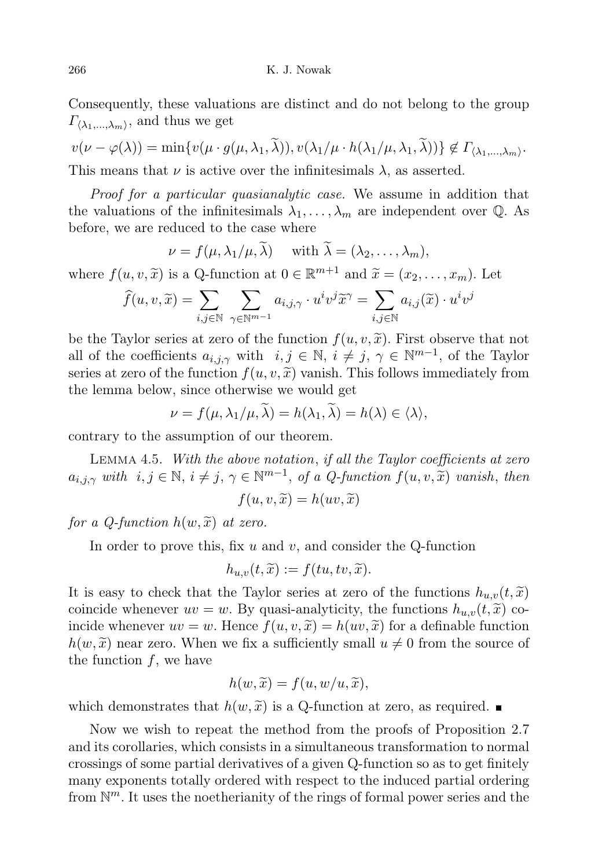Consequently, these valuations are distinct and do not belong to the group  $\Gamma_{\langle\lambda_1,...,\lambda_m\rangle}$ , and thus we get

$$
v(\nu - \varphi(\lambda)) = \min \{ v(\mu \cdot g(\mu, \lambda_1, \tilde{\lambda})), v(\lambda_1/\mu \cdot h(\lambda_1/\mu, \lambda_1, \tilde{\lambda})) \} \notin \Gamma_{\langle \lambda_1, \dots, \lambda_m \rangle}.
$$
  
This means that  $\nu$  is active over the infinitesimals  $\lambda$ , as asserted.

Proof for a particular quasianalytic case. We assume in addition that the valuations of the infinitesimals  $\lambda_1, \ldots, \lambda_m$  are independent over Q. As before, we are reduced to the case where

$$
\nu = f(\mu, \lambda_1/\mu, \widetilde{\lambda}) \quad \text{ with } \widetilde{\lambda} = (\lambda_2, \dots, \lambda_m),
$$

where  $f(u, v, \tilde{x})$  is a Q-function at  $0 \in \mathbb{R}^{m+1}$  and  $\tilde{x} = (x_2, \ldots, x_m)$ . Let

$$
\widehat{f}(u, v, \widetilde{x}) = \sum_{i,j \in \mathbb{N}} \sum_{\gamma \in \mathbb{N}^{m-1}} a_{i,j,\gamma} \cdot u^i v^j \widetilde{x}^\gamma = \sum_{i,j \in \mathbb{N}} a_{i,j}(\widetilde{x}) \cdot u^i v^j
$$

be the Taylor series at zero of the function  $f(u, v, \tilde{x})$ . First observe that not all of the coefficients  $a_{i,j,\gamma}$  with  $i, j \in \mathbb{N}, i \neq j, \gamma \in \mathbb{N}^{m-1}$ , of the Taylor series at zero of the function  $f(u, v, \tilde{x})$  vanish. This follows immediately from the lemma below, since otherwise we would get

$$
\nu = f(\mu, \lambda_1/\mu, \widetilde{\lambda}) = h(\lambda_1, \widetilde{\lambda}) = h(\lambda) \in \langle \lambda \rangle,
$$

contrary to the assumption of our theorem.

Lemma 4.5. With the above notation, if all the Taylor coefficients at zero  $a_{i,j,\gamma}$  with  $i, j \in \mathbb{N}, i \neq j, \gamma \in \mathbb{N}^{m-1}$ , of a Q-function  $f(u, v, \tilde{x})$  vanish, then

$$
f(u, v, \widetilde{x}) = h(uv, \widetilde{x})
$$

for a Q-function  $h(w, \tilde{x})$  at zero.

In order to prove this, fix  $u$  and  $v$ , and consider the Q-function

$$
h_{u,v}(t,\widetilde{x}):=f(tu,tv,\widetilde{x}).
$$

It is easy to check that the Taylor series at zero of the functions  $h_{u,v}(t, \tilde{x})$ coincide whenever  $uv = w$ . By quasi-analyticity, the functions  $h_{u,v}(t, \tilde{x})$  coincide whenever  $uv = w$ . Hence  $f(u, v, \tilde{x}) = h(uv, \tilde{x})$  for a definable function  $h(w, \tilde{x})$  near zero. When we fix a sufficiently small  $u \neq 0$  from the source of the function  $f$ , we have

$$
h(w,\widetilde{x})=f(u,w/u,\widetilde{x}),
$$

which demonstrates that  $h(w, \tilde{x})$  is a Q-function at zero, as required.

Now we wish to repeat the method from the proofs of Proposition 2.7 and its corollaries, which consists in a simultaneous transformation to normal crossings of some partial derivatives of a given Q-function so as to get finitely many exponents totally ordered with respect to the induced partial ordering from  $\mathbb{N}^m$ . It uses the noetherianity of the rings of formal power series and the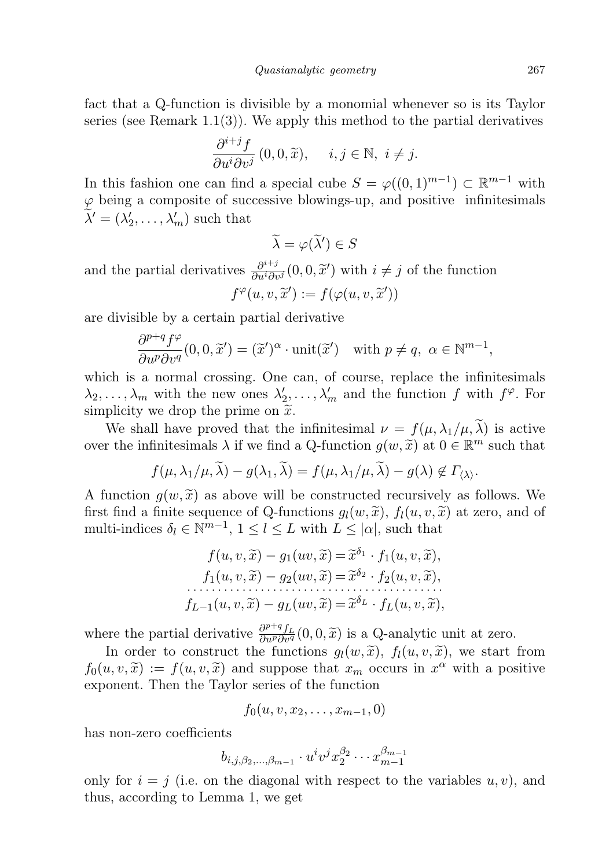fact that a Q-function is divisible by a monomial whenever so is its Taylor series (see Remark  $1.1(3)$ ). We apply this method to the partial derivatives

$$
\frac{\partial^{i+j} f}{\partial u^i \partial v^j} (0,0,\widetilde{x}), \quad i,j \in \mathbb{N}, \ i \neq j.
$$

In this fashion one can find a special cube  $S = \varphi((0,1)^{m-1}) \subset \mathbb{R}^{m-1}$  with  $\varphi$  being a composite of successive blowings-up, and positive infinitesimals  $\widetilde{\lambda}' = (\lambda'_2, \dots, \lambda'_m)$  such that

$$
\widetilde{\lambda} = \varphi(\widetilde{\lambda}') \in S
$$

and the partial derivatives  $\frac{\partial^{i+j}}{\partial u^{i}\partial v^{j}}(0,0,\tilde{x}')$  with  $i \neq j$  of the function  $f^{\varphi}(u, v, \widetilde{x}') := f(\varphi(u, v, \widetilde{x}'))$ 

are divisible by a certain partial derivative

$$
\frac{\partial^{p+q} f^{\varphi}}{\partial u^p \partial v^q}(0,0,\widetilde{x}') = (\widetilde{x}')^{\alpha} \cdot \text{unit}(\widetilde{x}') \quad \text{with } p \neq q, \ \alpha \in \mathbb{N}^{m-1},
$$

which is a normal crossing. One can, of course, replace the infinitesimals  $\lambda_2, \ldots, \lambda_m$  with the new ones  $\lambda'_2, \ldots, \lambda'_m$  and the function f with  $f^{\varphi}$ . For simplicity we drop the prime on  $\tilde{x}$ .

We shall have proved that the infinitesimal  $\nu = f(\mu, \lambda_1/\mu, \tilde{\lambda})$  is active over the infinitesimals  $\lambda$  if we find a Q-function  $g(w, \tilde{x})$  at  $0 \in \mathbb{R}^m$  such that

$$
f(\mu, \lambda_1/\mu, \widetilde{\lambda}) - g(\lambda_1, \widetilde{\lambda}) = f(\mu, \lambda_1/\mu, \widetilde{\lambda}) - g(\lambda) \notin \Gamma_{\langle \lambda \rangle}.
$$

A function  $g(w, \tilde{x})$  as above will be constructed recursively as follows. We first find a finite sequence of Q-functions  $g_l(w, \tilde{x})$ ,  $f_l(u, v, \tilde{x})$  at zero, and of multi-indices  $\delta_l \in \mathbb{N}^{m-1}$ ,  $1 \leq l \leq L$  with  $L \leq |\alpha|$ , such that

$$
f(u, v, \widetilde{x}) - g_1(uv, \widetilde{x}) = \widetilde{x}^{\delta_1} \cdot f_1(u, v, \widetilde{x}),
$$
  
\n
$$
f_1(u, v, \widetilde{x}) - g_2(uv, \widetilde{x}) = \widetilde{x}^{\delta_2} \cdot f_2(u, v, \widetilde{x}),
$$
  
\n
$$
f_{L-1}(u, v, \widetilde{x}) - g_L(uv, \widetilde{x}) = \widetilde{x}^{\delta_L} \cdot f_L(u, v, \widetilde{x}),
$$

where the partial derivative  $\frac{\partial^{p+q} f_L}{\partial u^p \partial v^q} (0,0, \tilde{x})$  is a Q-analytic unit at zero.

In order to construct the functions  $g_l(w, \tilde{x})$ ,  $f_l(u, v, \tilde{x})$ , we start from  $f_0(u, v, \tilde{x}) := f(u, v, \tilde{x})$  and suppose that  $x_m$  occurs in  $x^{\alpha}$  with a positive<br>exponent. Then the Taylor series of the function exponent. Then the Taylor series of the function

$$
f_0(u,v,x_2,\ldots,x_{m-1},0)
$$

has non-zero coefficients

$$
b_{i,j,\beta_2,\dots,\beta_{m-1}}\cdot u^iv^jx_2^{\beta_2}\cdots x_{m-1}^{\beta_{m-1}}
$$

only for  $i = j$  (i.e. on the diagonal with respect to the variables  $u, v$ ), and thus, according to Lemma 1, we get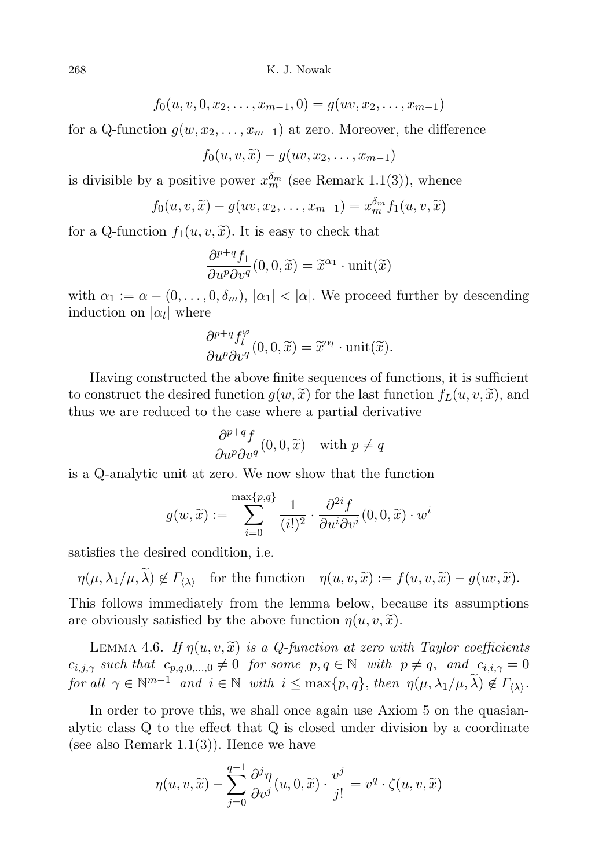268 K. J. Nowak

$$
f_0(u, v, 0, x_2, \dots, x_{m-1}, 0) = g(uv, x_2, \dots, x_{m-1})
$$

for a Q-function  $g(w, x_2, \ldots, x_{m-1})$  at zero. Moreover, the difference

$$
f_0(u, v, \widetilde{x}) - g(uv, x_2, \dots, x_{m-1})
$$

is divisible by a positive power  $x_m^{\delta_m}$  (see Remark 1.1(3)), whence

$$
f_0(u, v, \widetilde{x}) - g(uv, x_2, \dots, x_{m-1}) = x_m^{\delta_m} f_1(u, v, \widetilde{x})
$$

for a Q-function  $f_1(u, v, \tilde{x})$ . It is easy to check that

$$
\frac{\partial^{p+q} f_1}{\partial u^p \partial v^q}(0,0,\widetilde{x}) = \widetilde{x}^{\alpha_1} \cdot \text{unit}(\widetilde{x})
$$

with  $\alpha_1 := \alpha - (0, \ldots, 0, \delta_m)$ ,  $|\alpha_1| < |\alpha|$ . We proceed further by descending induction on  $|\alpha_l|$  where

$$
\frac{\partial^{p+q} f_l^{\varphi}}{\partial u^p \partial v^q}(0,0,\widetilde{x}) = \widetilde{x}^{\alpha_l} \cdot \text{unit}(\widetilde{x}).
$$

Having constructed the above finite sequences of functions, it is sufficient to construct the desired function  $g(w, \tilde{x})$  for the last function  $f_L(u, v, \tilde{x})$ , and thus we are reduced to the case where a partial derivative

$$
\frac{\partial^{p+q} f}{\partial u^p \partial v^q}(0,0,\widetilde{x}) \quad \text{with } p \neq q
$$

is a Q-analytic unit at zero. We now show that the function

$$
g(w,\widetilde{x}) := \sum_{i=0}^{\max\{p,q\}} \frac{1}{(i!)^2} \cdot \frac{\partial^{2i} f}{\partial u^i \partial v^i} (0,0,\widetilde{x}) \cdot w^i
$$

satisfies the desired condition, i.e.

 $\eta(\mu, \lambda_1/\mu, \lambda) \notin \Gamma_{\langle \lambda \rangle}$  for the function  $\eta(u, v, \widetilde{x}) := f(u, v, \widetilde{x}) - g(uv, \widetilde{x}).$ 

This follows immediately from the lemma below, because its assumptions are obviously satisfied by the above function  $\eta(u, v, \tilde{x})$ .

LEMMA 4.6. If  $\eta(u, v, \tilde{x})$  is a Q-function at zero with Taylor coefficients  $c_{i,j,\gamma}$  such that  $c_{p,q,0,...,0} \neq 0$  for some  $p, q \in \mathbb{N}$  with  $p \neq q$ , and  $c_{i,i,\gamma} = 0$ for all  $\gamma \in \mathbb{N}^{m-1}$  and  $i \in \mathbb{N}$  with  $i \leq \max\{p, q\}$ , then  $\eta(\mu, \lambda_1/\mu, \tilde{\lambda}) \notin \Gamma_{\langle \lambda \rangle}$ .

In order to prove this, we shall once again use Axiom 5 on the quasianalytic class Q to the effect that Q is closed under division by a coordinate (see also Remark  $1.1(3)$ ). Hence we have

$$
\eta(u, v, \widetilde{x}) - \sum_{j=0}^{q-1} \frac{\partial^j \eta}{\partial v^j} (u, 0, \widetilde{x}) \cdot \frac{v^j}{j!} = v^q \cdot \zeta(u, v, \widetilde{x})
$$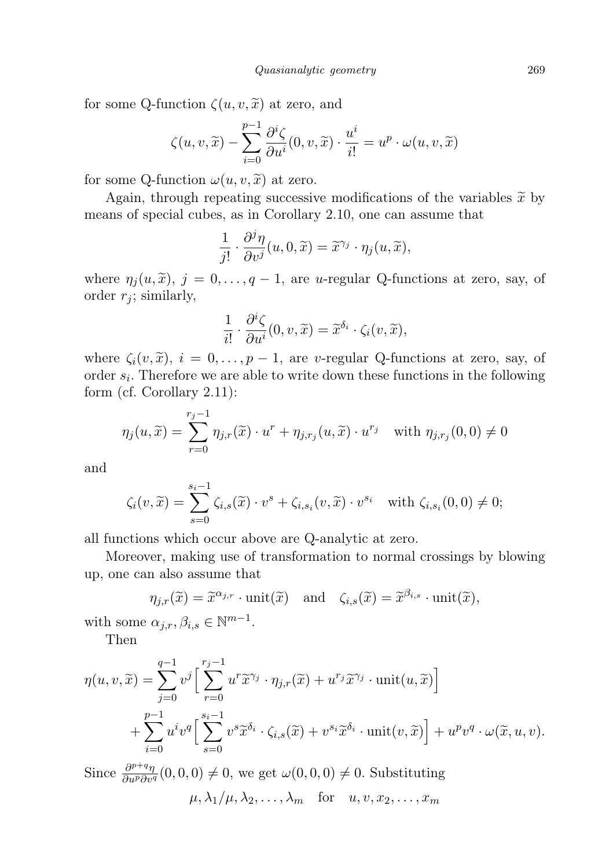for some Q-function  $\zeta(u, v, \tilde{x})$  at zero, and

$$
\zeta(u, v, \widetilde{x}) - \sum_{i=0}^{p-1} \frac{\partial^i \zeta}{\partial u^i}(0, v, \widetilde{x}) \cdot \frac{u^i}{i!} = u^p \cdot \omega(u, v, \widetilde{x})
$$

for some Q-function  $\omega(u, v, \tilde{x})$  at zero.

Again, through repeating successive modifications of the variables  $\tilde{x}$  by means of special cubes, as in Corollary 2.10, one can assume that

$$
\frac{1}{j!} \cdot \frac{\partial^j \eta}{\partial v^j}(u, 0, \widetilde{x}) = \widetilde{x}^{\gamma_j} \cdot \eta_j(u, \widetilde{x}),
$$

where  $\eta_j(u, \tilde{x})$ ,  $j = 0, \ldots, q-1$ , are u-regular Q-functions at zero, say, of order  $r_i$ ; similarly,

$$
\frac{1}{i!} \cdot \frac{\partial^i \zeta}{\partial u^i}(0, v, \widetilde{x}) = \widetilde{x}^{\delta_i} \cdot \zeta_i(v, \widetilde{x}),
$$

where  $\zeta_i(v, \tilde{x})$ ,  $i = 0, \ldots, p-1$ , are v-regular Q-functions at zero, say, of order  $s_i$ . Therefore we are able to write down these functions in the following form (cf. Corollary 2.11):

$$
\eta_j(u,\widetilde{x}) = \sum_{r=0}^{r_j-1} \eta_{j,r}(\widetilde{x}) \cdot u^r + \eta_{j,r_j}(u,\widetilde{x}) \cdot u^{r_j} \quad \text{with } \eta_{j,r_j}(0,0) \neq 0
$$

and

$$
\zeta_i(v,\widetilde{x}) = \sum_{s=0}^{s_i-1} \zeta_{i,s}(\widetilde{x}) \cdot v^s + \zeta_{i,s_i}(v,\widetilde{x}) \cdot v^{s_i} \quad \text{with } \zeta_{i,s_i}(0,0) \neq 0;
$$

all functions which occur above are Q-analytic at zero.

Moreover, making use of transformation to normal crossings by blowing up, one can also assume that

$$
\eta_{j,r}(\widetilde{x}) = \widetilde{x}^{\alpha_{j,r}} \cdot \text{unit}(\widetilde{x}) \quad \text{and} \quad \zeta_{i,s}(\widetilde{x}) = \widetilde{x}^{\beta_{i,s}} \cdot \text{unit}(\widetilde{x}),
$$

with some  $\alpha_{j,r}, \beta_{i,s} \in \mathbb{N}^{m-1}$ .

Then

$$
\eta(u, v, \widetilde{x}) = \sum_{j=0}^{q-1} v^j \Big[ \sum_{r=0}^{r_j - 1} u^r \widetilde{x}^{\gamma_j} \cdot \eta_{j,r}(\widetilde{x}) + u^{r_j} \widetilde{x}^{\gamma_j} \cdot \text{unit}(u, \widetilde{x}) \Big] + \sum_{i=0}^{p-1} u^i v^q \Big[ \sum_{s=0}^{s_i - 1} v^s \widetilde{x}^{\delta_i} \cdot \zeta_{i,s}(\widetilde{x}) + v^{s_i} \widetilde{x}^{\delta_i} \cdot \text{unit}(v, \widetilde{x}) \Big] + u^p v^q \cdot \omega(\widetilde{x}, u, v).
$$

Since  $\frac{\partial^{p+q}\eta}{\partial u^p\partial v^q}(0,0,0) \neq 0$ , we get  $\omega(0,0,0) \neq 0$ . Substituting

 $\mu, \lambda_1/\mu, \lambda_2, \ldots, \lambda_m$  for  $u, v, x_2, \ldots, x_m$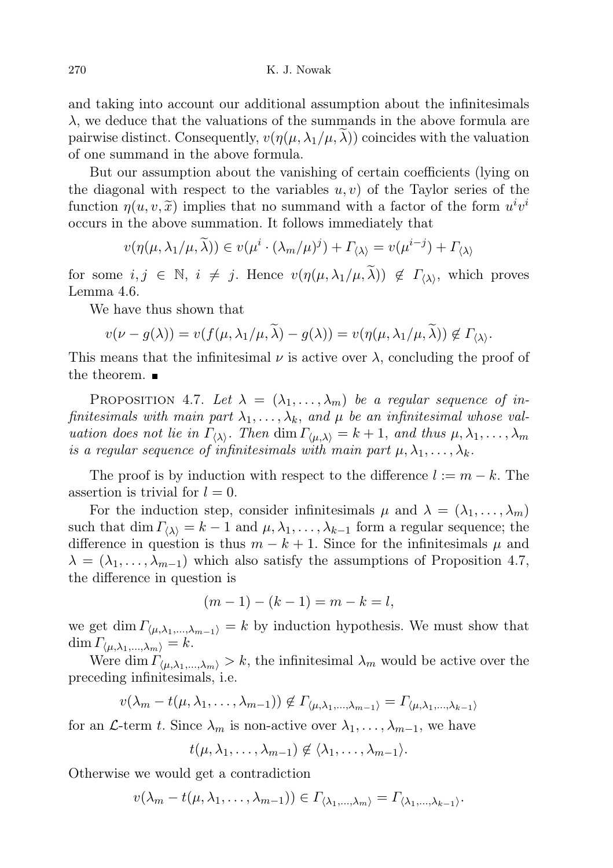270 K. J. Nowak

and taking into account our additional assumption about the infinitesimals  $\lambda$ , we deduce that the valuations of the summands in the above formula are pairwise distinct. Consequently,  $v(\eta(\mu, \lambda_1/\mu, \lambda))$  coincides with the valuation of one summand in the above formula.

But our assumption about the vanishing of certain coefficients (lying on the diagonal with respect to the variables  $u, v$  of the Taylor series of the function  $\eta(u, v, \tilde{x})$  implies that no summand with a factor of the form  $u^i v^i$ <br>occurs in the above summation. It follows immediately that occurs in the above summation. It follows immediately that

$$
v(\eta(\mu, \lambda_1/\mu, \widetilde{\lambda})) \in v(\mu^i \cdot (\lambda_m/\mu)^j) + \Gamma_{\langle \lambda \rangle} = v(\mu^{i-j}) + \Gamma_{\langle \lambda \rangle}
$$

for some  $i, j \in \mathbb{N}, i \neq j$ . Hence  $v(\eta(\mu, \lambda_1/\mu, \tilde{\lambda})) \notin \Gamma_{\langle \lambda \rangle}$ , which proves Lemma 4.6.

We have thus shown that

$$
v(\nu - g(\lambda)) = v(f(\mu, \lambda_1/\mu, \lambda) - g(\lambda)) = v(\eta(\mu, \lambda_1/\mu, \lambda)) \notin \Gamma_{\langle \lambda \rangle}.
$$

This means that the infinitesimal  $\nu$  is active over  $\lambda$ , concluding the proof of the theorem.

PROPOSITION 4.7. Let  $\lambda = (\lambda_1, \ldots, \lambda_m)$  be a regular sequence of infinitesimals with main part  $\lambda_1, \ldots, \lambda_k$ , and  $\mu$  be an infinitesimal whose valuation does not lie in  $\Gamma_{\langle\lambda\rangle}$ . Then  $\dim \Gamma_{\langle\mu,\lambda\rangle} = k + 1$ , and thus  $\mu, \lambda_1, \ldots, \lambda_m$ is a regular sequence of infinitesimals with main part  $\mu, \lambda_1, \ldots, \lambda_k$ .

The proof is by induction with respect to the difference  $l := m - k$ . The assertion is trivial for  $l = 0$ .

For the induction step, consider infinitesimals  $\mu$  and  $\lambda = (\lambda_1, \dots, \lambda_m)$ such that dim  $\Gamma_{\langle\lambda\rangle} = k - 1$  and  $\mu, \lambda_1, \ldots, \lambda_{k-1}$  form a regular sequence; the difference in question is thus  $m - k + 1$ . Since for the infinitesimals  $\mu$  and  $\lambda = (\lambda_1, \ldots, \lambda_{m-1})$  which also satisfy the assumptions of Proposition 4.7, the difference in question is

$$
(m-1) - (k-1) = m - k = l,
$$

we get dim  $\Gamma_{(\mu,\lambda_1,\dots,\lambda_{m-1})} = k$  by induction hypothesis. We must show that  $\dim \Gamma_{\langle \mu, \lambda_1, \ldots, \lambda_m \rangle} = k.$ 

Were dim  $\Gamma_{\langle \mu, \lambda_1, ..., \lambda_m \rangle} > k$ , the infinitesimal  $\lambda_m$  would be active over the preceding infinitesimals, i.e.

 $v(\lambda_m - t(\mu, \lambda_1, \ldots, \lambda_{m-1})) \notin \Gamma_{\langle \mu, \lambda_1, \ldots, \lambda_{m-1} \rangle} = \Gamma_{\langle \mu, \lambda_1, \ldots, \lambda_{k-1} \rangle}$ 

for an L-term t. Since  $\lambda_m$  is non-active over  $\lambda_1, \ldots, \lambda_{m-1}$ , we have

 $t(\mu, \lambda_1, \ldots, \lambda_{m-1}) \notin \langle \lambda_1, \ldots, \lambda_{m-1} \rangle$ .

Otherwise we would get a contradiction

$$
v(\lambda_m-t(\mu,\lambda_1,\ldots,\lambda_{m-1}))\in\Gamma_{\langle\lambda_1,\ldots,\lambda_m\rangle}=\Gamma_{\langle\lambda_1,\ldots,\lambda_{k-1}\rangle}.
$$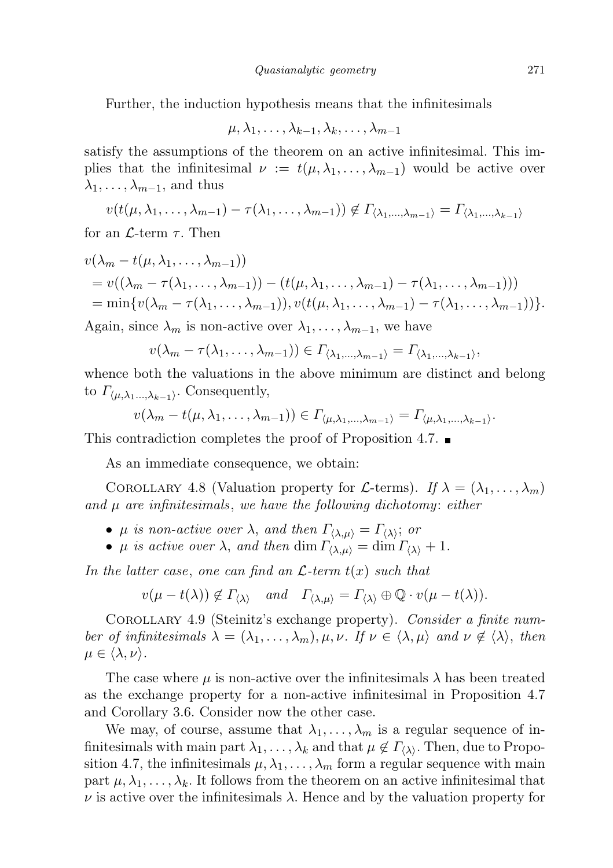Further, the induction hypothesis means that the infinitesimals

$$
\mu,\lambda_1,\ldots,\lambda_{k-1},\lambda_k,\ldots,\lambda_{m-1}
$$

satisfy the assumptions of the theorem on an active infinitesimal. This implies that the infinitesimal  $\nu := t(\mu, \lambda_1, \ldots, \lambda_{m-1})$  would be active over  $\lambda_1, \ldots, \lambda_{m-1}$ , and thus

$$
v(t(\mu,\lambda_1,\ldots,\lambda_{m-1})-\tau(\lambda_1,\ldots,\lambda_{m-1})) \notin \Gamma_{\langle \lambda_1,\ldots,\lambda_{m-1} \rangle} = \Gamma_{\langle \lambda_1,\ldots,\lambda_{k-1} \rangle}
$$

for an  $\mathcal{L}$ -term  $\tau$ . Then

$$
v(\lambda_m - t(\mu, \lambda_1, \dots, \lambda_{m-1}))
$$
  
=  $v((\lambda_m - \tau(\lambda_1, \dots, \lambda_{m-1})) - (t(\mu, \lambda_1, \dots, \lambda_{m-1}) - \tau(\lambda_1, \dots, \lambda_{m-1})))$   
=  $\min\{v(\lambda_m - \tau(\lambda_1, \dots, \lambda_{m-1})), v(t(\mu, \lambda_1, \dots, \lambda_{m-1}) - \tau(\lambda_1, \dots, \lambda_{m-1}))\}.$ 

Again, since  $\lambda_m$  is non-active over  $\lambda_1, \ldots, \lambda_{m-1}$ , we have

$$
v(\lambda_m-\tau(\lambda_1,\ldots,\lambda_{m-1}))\in\Gamma_{\langle\lambda_1,\ldots,\lambda_{m-1}\rangle}=\Gamma_{\langle\lambda_1,\ldots,\lambda_{k-1}\rangle},
$$

whence both the valuations in the above minimum are distinct and belong to  $\varGamma_{\langle \mu, \lambda_1 \dots, \lambda_{k-1} \rangle}$ . Consequently,

$$
v(\lambda_m-t(\mu,\lambda_1,\ldots,\lambda_{m-1}))\in\Gamma_{\langle\mu,\lambda_1,\ldots,\lambda_{m-1}\rangle}=\Gamma_{\langle\mu,\lambda_1,\ldots,\lambda_{k-1}\rangle}.
$$

This contradiction completes the proof of Proposition 4.7.

As an immediate consequence, we obtain:

COROLLARY 4.8 (Valuation property for L-terms). If  $\lambda = (\lambda_1, \ldots, \lambda_m)$ and  $\mu$  are infinitesimals, we have the following dichotomy: either

- $\mu$  is non-active over  $\lambda$ , and then  $\Gamma_{\langle \lambda,\mu \rangle} = \Gamma_{\langle \lambda \rangle}$ ; or
- $\mu$  is active over  $\lambda$ , and then  $\dim \Gamma_{\langle \lambda, \mu \rangle} = \dim \Gamma_{\langle \lambda \rangle} + 1$ .

In the latter case, one can find an  $\mathcal{L}$ -term  $t(x)$  such that

$$
v(\mu - t(\lambda)) \notin \Gamma_{\langle \lambda \rangle}
$$
 and  $\Gamma_{\langle \lambda, \mu \rangle} = \Gamma_{\langle \lambda \rangle} \oplus \mathbb{Q} \cdot v(\mu - t(\lambda)).$ 

COROLLARY 4.9 (Steinitz's exchange property). Consider a finite number of infinitesimals  $\lambda = (\lambda_1, \ldots, \lambda_m), \mu, \nu$ . If  $\nu \in \langle \lambda, \mu \rangle$  and  $\nu \notin \langle \lambda \rangle$ , then  $\mu \in \langle \lambda, \nu \rangle$ .

The case where  $\mu$  is non-active over the infinitesimals  $\lambda$  has been treated as the exchange property for a non-active infinitesimal in Proposition 4.7 and Corollary 3.6. Consider now the other case.

We may, of course, assume that  $\lambda_1, \ldots, \lambda_m$  is a regular sequence of infinitesimals with main part  $\lambda_1, \ldots, \lambda_k$  and that  $\mu \notin \Gamma_{\langle \lambda \rangle}$ . Then, due to Proposition 4.7, the infinitesimals  $\mu, \lambda_1, \ldots, \lambda_m$  form a regular sequence with main part  $\mu, \lambda_1, \ldots, \lambda_k$ . It follows from the theorem on an active infinitesimal that  $\nu$  is active over the infinitesimals  $\lambda$ . Hence and by the valuation property for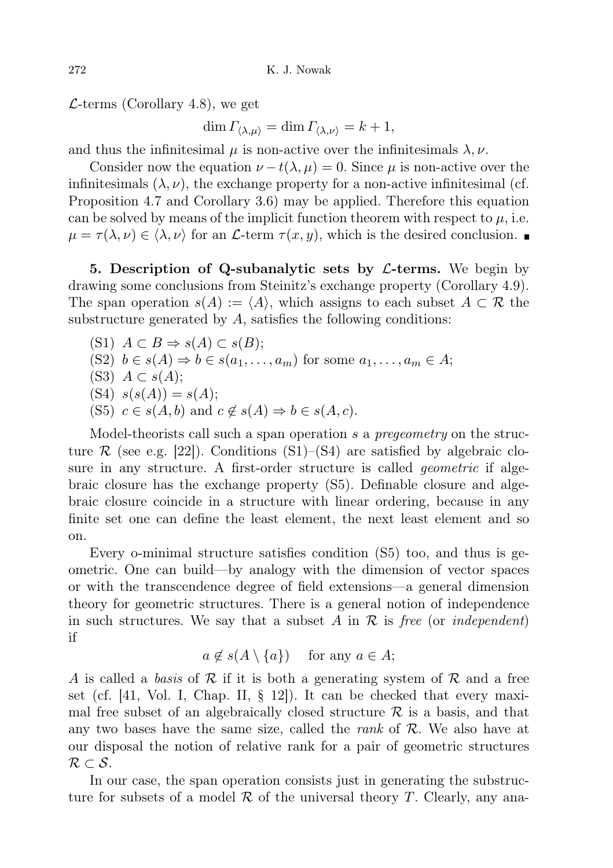$\mathcal{L}$ -terms (Corollary 4.8), we get

 $\dim \Gamma_{\langle \lambda,\mu \rangle} = \dim \Gamma_{\langle \lambda,\nu \rangle} = k + 1,$ 

and thus the infinitesimal  $\mu$  is non-active over the infinitesimals  $\lambda, \nu$ .

Consider now the equation  $\nu - t(\lambda, \mu) = 0$ . Since  $\mu$  is non-active over the infinitesimals  $(\lambda, \nu)$ , the exchange property for a non-active infinitesimal (cf. Proposition 4.7 and Corollary 3.6) may be applied. Therefore this equation can be solved by means of the implicit function theorem with respect to  $\mu$ , i.e.  $\mu = \tau(\lambda, \nu) \in \langle \lambda, \nu \rangle$  for an L-term  $\tau(x, y)$ , which is the desired conclusion.

5. Description of Q-subanalytic sets by  $\mathcal{L}$ -terms. We begin by drawing some conclusions from Steinitz's exchange property (Corollary 4.9). The span operation  $s(A) := \langle A \rangle$ , which assigns to each subset  $A \subset \mathcal{R}$  the substructure generated by  $A$ , satisfies the following conditions:

(S1) 
$$
A \subset B \Rightarrow s(A) \subset s(B);
$$

(S2)  $b \in s(A) \Rightarrow b \in s(a_1, \ldots, a_m)$  for some  $a_1, \ldots, a_m \in A;$ 

(S3)  $A \subset s(A);$ 

- $(S4)$   $s(s(A)) = s(A);$
- (S5)  $c \in s(A, b)$  and  $c \notin s(A) \Rightarrow b \in s(A, c)$ .

Model-theorists call such a span operation s a prequently on the structure  $\mathcal R$  (see e.g. [22]). Conditions (S1)–(S4) are satisfied by algebraic closure in any structure. A first-order structure is called *geometric* if algebraic closure has the exchange property (S5). Definable closure and algebraic closure coincide in a structure with linear ordering, because in any finite set one can define the least element, the next least element and so on.

Every o-minimal structure satisfies condition (S5) too, and thus is geometric. One can build—by analogy with the dimension of vector spaces or with the transcendence degree of field extensions—a general dimension theory for geometric structures. There is a general notion of independence in such structures. We say that a subset A in  $\mathcal R$  is free (or *independent*) if

 $a \notin s(A \setminus \{a\})$  for any  $a \in A$ ;

A is called a basis of R if it is both a generating system of R and a free set (cf. [41, Vol. I, Chap. II, § 12]). It can be checked that every maximal free subset of an algebraically closed structure  $\mathcal R$  is a basis, and that any two bases have the same size, called the *rank* of  $R$ . We also have at our disposal the notion of relative rank for a pair of geometric structures  $\mathcal{R} \subset \mathcal{S}.$ 

In our case, the span operation consists just in generating the substructure for subsets of a model  $\mathcal R$  of the universal theory T. Clearly, any ana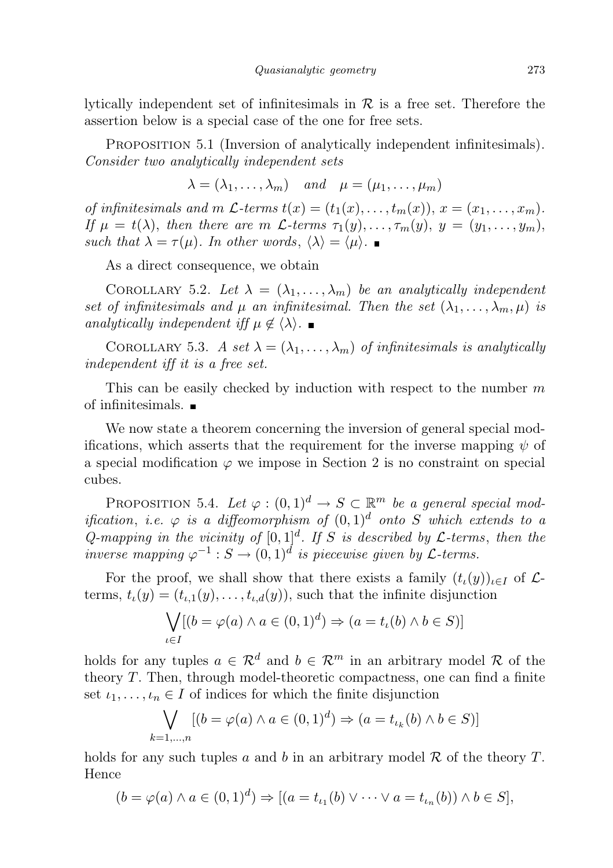lytically independent set of infinitesimals in  $\mathcal R$  is a free set. Therefore the assertion below is a special case of the one for free sets.

PROPOSITION 5.1 (Inversion of analytically independent infinitesimals). Consider two analytically independent sets

$$
\lambda = (\lambda_1, \ldots, \lambda_m)
$$
 and  $\mu = (\mu_1, \ldots, \mu_m)$ 

of infinitesimals and m  $\mathcal{L}$ -terms  $t(x) = (t_1(x), \ldots, t_m(x)), x = (x_1, \ldots, x_m).$ If  $\mu = t(\lambda)$ , then there are m  $\mathcal{L}$ -terms  $\tau_1(y), \ldots, \tau_m(y), y = (y_1, \ldots, y_m)$ , such that  $\lambda = \tau(\mu)$ . In other words,  $\langle \lambda \rangle = \langle \mu \rangle$ .

As a direct consequence, we obtain

COROLLARY 5.2. Let  $\lambda = (\lambda_1, \ldots, \lambda_m)$  be an analytically independent set of infinitesimals and  $\mu$  an infinitesimal. Then the set  $(\lambda_1, \ldots, \lambda_m, \mu)$  is analytically independent iff  $\mu \notin \langle \lambda \rangle$ .

COROLLARY 5.3. A set  $\lambda = (\lambda_1, \ldots, \lambda_m)$  of infinitesimals is analytically independent iff it is a free set.

This can be easily checked by induction with respect to the number  $m$ of infinitesimals.

We now state a theorem concerning the inversion of general special modifications, which asserts that the requirement for the inverse mapping  $\psi$  of a special modification  $\varphi$  we impose in Section 2 is no constraint on special cubes.

PROPOSITION 5.4. Let  $\varphi:(0,1)^d\to S\subset\mathbb{R}^m$  be a general special modification, i.e.  $\varphi$  is a diffeomorphism of  $(0,1)^d$  onto S which extends to a Q-mapping in the vicinity of  $[0,1]^d$ . If S is described by L-terms, then the inverse mapping  $\varphi^{-1}: S \to (0,1)^d$  is piecewise given by  $\mathcal{L}$ -terms.

For the proof, we shall show that there exists a family  $(t_{\iota}(y))_{\iota\in I}$  of  $\mathcal{L}$ terms,  $t_{\iota}(y) = (t_{\iota,1}(y), \ldots, t_{\iota,d}(y))$ , such that the infinite disjunction

$$
\bigvee_{\iota \in I} [(b = \varphi(a) \land a \in (0,1)^d) \Rightarrow (a = t_{\iota}(b) \land b \in S)]
$$

holds for any tuples  $a \in \mathcal{R}^d$  and  $b \in \mathcal{R}^m$  in an arbitrary model R of the theory T. Then, through model-theoretic compactness, one can find a finite set  $i_1, \ldots, i_n \in I$  of indices for which the finite disjunction

$$
\bigvee_{k=1,\dots,n} [(b = \varphi(a) \land a \in (0,1)^d) \Rightarrow (a = t_{\iota_k}(b) \land b \in S)]
$$

holds for any such tuples a and b in an arbitrary model  $\mathcal R$  of the theory  $T$ . Hence

$$
(b = \varphi(a) \land a \in (0,1)^d) \Rightarrow [(a = t_{\iota_1}(b) \lor \cdots \lor a = t_{\iota_n}(b)) \land b \in S],
$$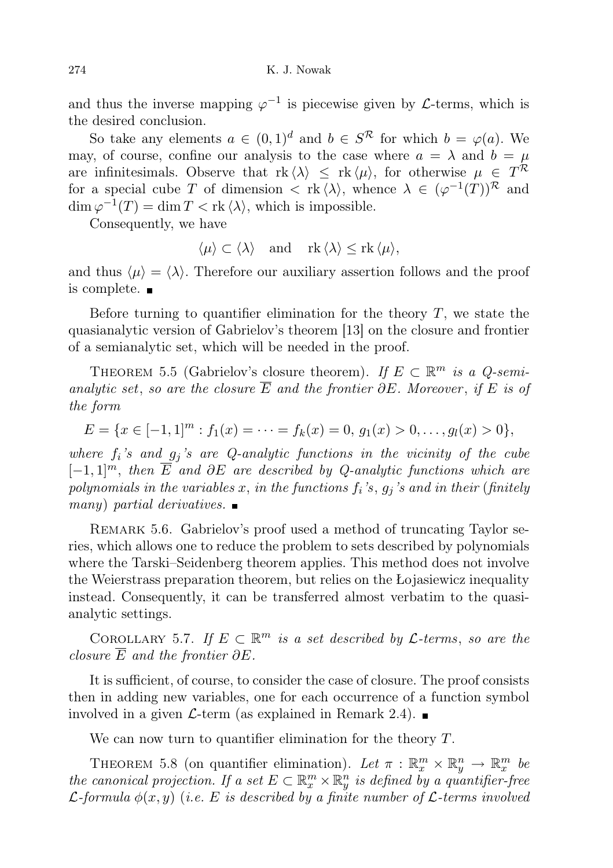and thus the inverse mapping  $\varphi^{-1}$  is piecewise given by *L*-terms, which is the desired conclusion.

So take any elements  $a \in (0,1)^d$  and  $b \in S^R$  for which  $b = \varphi(a)$ . We may, of course, confine our analysis to the case where  $a = \lambda$  and  $b = \mu$ are infinitesimals. Observe that  $\text{rk} \langle \lambda \rangle \leq \text{rk} \langle \mu \rangle$ , for otherwise  $\mu \in T^{\mathcal{R}}$ for a special cube T of dimension  $\langle \nabla \cdot \mathbf{k} \, \langle \lambda \rangle$ , whence  $\lambda \in (\varphi^{-1}(T))^{\mathcal{R}}$  and  $\dim \varphi^{-1}(T) = \dim T < \text{rk} \langle \lambda \rangle$ , which is impossible.

Consequently, we have

$$
\langle \mu \rangle \subset \langle \lambda \rangle
$$
 and  $\text{rk} \langle \lambda \rangle \leq \text{rk} \langle \mu \rangle$ ,

and thus  $\langle \mu \rangle = \langle \lambda \rangle$ . Therefore our auxiliary assertion follows and the proof is complete.

Before turning to quantifier elimination for the theory  $T$ , we state the quasianalytic version of Gabrielov's theorem [13] on the closure and frontier of a semianalytic set, which will be needed in the proof.

THEOREM 5.5 (Gabrielov's closure theorem). If  $E \subset \mathbb{R}^m$  is a Q-semianalytic set, so are the closure  $\overline{E}$  and the frontier  $\partial E$ . Moreover, if E is of the form

$$
E = \{x \in [-1,1]^m : f_1(x) = \cdots = f_k(x) = 0, \, g_1(x) > 0, \ldots, g_l(x) > 0\},\
$$

where  $f_i$ 's and  $g_i$ 's are Q-analytic functions in the vicinity of the cube  $[-1, 1]^m$ , then  $\overline{E}$  and  $\partial E$  are described by Q-analytic functions which are polynomials in the variables x, in the functions  $f_i$ 's,  $g_j$ 's and in their (finitely many) partial derivatives.  $\blacksquare$ 

REMARK 5.6. Gabrielov's proof used a method of truncating Taylor series, which allows one to reduce the problem to sets described by polynomials where the Tarski–Seidenberg theorem applies. This method does not involve the Weierstrass preparation theorem, but relies on the Łojasiewicz inequality instead. Consequently, it can be transferred almost verbatim to the quasianalytic settings.

COROLLARY 5.7. If  $E \subset \mathbb{R}^m$  is a set described by  $\mathcal{L}$ -terms, so are the closure  $\overline{E}$  and the frontier  $\partial E$ .

It is sufficient, of course, to consider the case of closure. The proof consists then in adding new variables, one for each occurrence of a function symbol involved in a given  $\mathcal{L}$ -term (as explained in Remark 2.4).

We can now turn to quantifier elimination for the theory  $T$ .

THEOREM 5.8 (on quantifier elimination). Let  $\pi : \mathbb{R}^m_x \times \mathbb{R}^n_y \to \mathbb{R}^m_x$  be the canonical projection. If a set  $E \subset \mathbb{R}_x^m \times \mathbb{R}_y^n$  is defined by a quantifier-free  $\mathcal{L}$ -formula  $\phi(x, y)$  (i.e. E is described by a finite number of  $\mathcal{L}$ -terms involved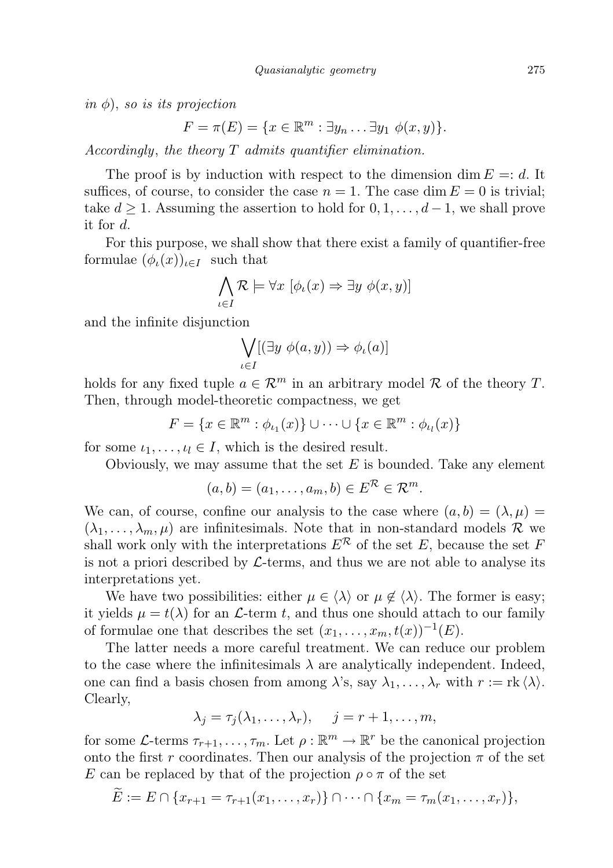in  $\phi$ ), so is its projection

$$
F = \pi(E) = \{x \in \mathbb{R}^m : \exists y_n \dots \exists y_1 \phi(x, y)\}.
$$

Accordingly, the theory T admits quantifier elimination.

The proof is by induction with respect to the dimension dim  $E = d$ . It suffices, of course, to consider the case  $n = 1$ . The case dim  $E = 0$  is trivial; take  $d \geq 1$ . Assuming the assertion to hold for  $0, 1, \ldots, d-1$ , we shall prove it for d.

For this purpose, we shall show that there exist a family of quantifier-free formulae  $(\phi_{\iota}(x))_{\iota \in I}$  such that

$$
\bigwedge_{\iota \in I} \mathcal{R} \models \forall x \ [\phi_{\iota}(x) \Rightarrow \exists y \ \phi(x, y)]
$$

and the infinite disjunction

$$
\bigvee_{\iota \in I} [(\exists y \: \phi(a,y)) \Rightarrow \phi_{\iota}(a)]
$$

holds for any fixed tuple  $a \in \mathcal{R}^m$  in an arbitrary model R of the theory T. Then, through model-theoretic compactness, we get

$$
F = \{x \in \mathbb{R}^m : \phi_{\iota_1}(x)\} \cup \cdots \cup \{x \in \mathbb{R}^m : \phi_{\iota_l}(x)\}\
$$

for some  $\iota_1, \ldots, \iota_l \in I$ , which is the desired result.

Obviously, we may assume that the set  $E$  is bounded. Take any element

$$
(a,b)=(a_1,\ldots,a_m,b)\in E^{\mathcal{R}}\in\mathcal{R}^m.
$$

We can, of course, confine our analysis to the case where  $(a, b) = (\lambda, \mu)$  $(\lambda_1, \ldots, \lambda_m, \mu)$  are infinitesimals. Note that in non-standard models R we shall work only with the interpretations  $E^{\mathcal{R}}$  of the set E, because the set F is not a priori described by  $\mathcal{L}\text{-terms}$ , and thus we are not able to analyse its interpretations yet.

We have two possibilities: either  $\mu \in \langle \lambda \rangle$  or  $\mu \notin \langle \lambda \rangle$ . The former is easy; it yields  $\mu = t(\lambda)$  for an L-term t, and thus one should attach to our family of formulae one that describes the set  $(x_1, \ldots, x_m, t(x))^{-1}(E)$ .

The latter needs a more careful treatment. We can reduce our problem to the case where the infinitesimals  $\lambda$  are analytically independent. Indeed, one can find a basis chosen from among  $\lambda$ 's, say  $\lambda_1, \ldots, \lambda_r$  with  $r := \text{rk} \langle \lambda \rangle$ . Clearly,

$$
\lambda_j = \tau_j(\lambda_1, \ldots, \lambda_r), \quad j = r+1, \ldots, m,
$$

for some L-terms  $\tau_{r+1}, \ldots, \tau_m$ . Let  $\rho : \mathbb{R}^m \to \mathbb{R}^r$  be the canonical projection onto the first r coordinates. Then our analysis of the projection  $\pi$  of the set E can be replaced by that of the projection  $\rho \circ \pi$  of the set

$$
E := E \cap \{x_{r+1} = \tau_{r+1}(x_1, \ldots, x_r)\} \cap \cdots \cap \{x_m = \tau_m(x_1, \ldots, x_r)\},\
$$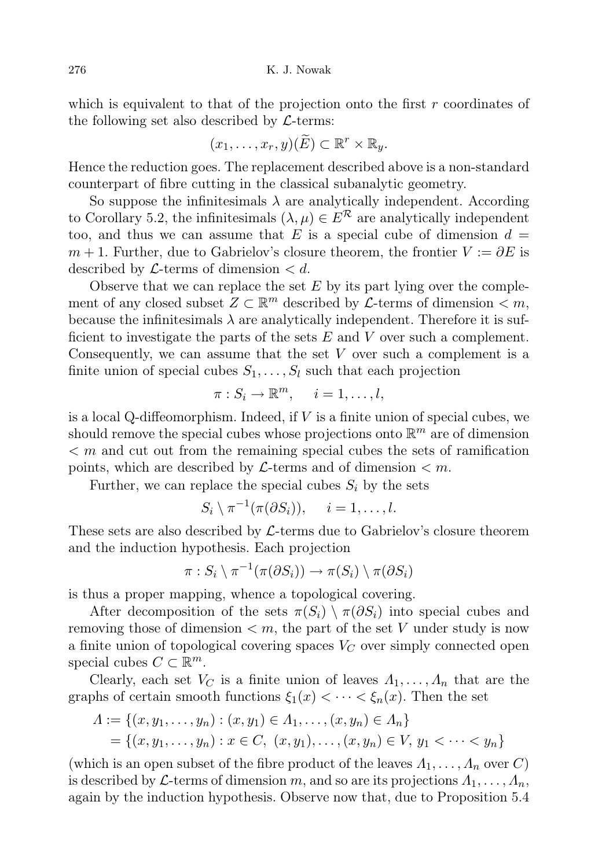276 K. J. Nowak

which is equivalent to that of the projection onto the first  $r$  coordinates of the following set also described by  $\mathcal{L}$ -terms:

$$
(x_1,\ldots,x_r,y)(\widetilde{E})\subset\mathbb{R}^r\times\mathbb{R}_y.
$$

Hence the reduction goes. The replacement described above is a non-standard counterpart of fibre cutting in the classical subanalytic geometry.

So suppose the infinitesimals  $\lambda$  are analytically independent. According to Corollary 5.2, the infinitesimals  $(\lambda, \mu) \in E^{\mathcal{R}}$  are analytically independent too, and thus we can assume that E is a special cube of dimension  $d =$  $m + 1$ . Further, due to Gabrielov's closure theorem, the frontier  $V := \partial E$  is described by  $\mathcal{L}$ -terms of dimension  $\langle d \rangle$ .

Observe that we can replace the set  $E$  by its part lying over the complement of any closed subset  $Z \subset \mathbb{R}^m$  described by  $\mathcal{L}$ -terms of dimension  $\lt m$ , because the infinitesimals  $\lambda$  are analytically independent. Therefore it is sufficient to investigate the parts of the sets  $E$  and  $V$  over such a complement. Consequently, we can assume that the set V over such a complement is a finite union of special cubes  $S_1, \ldots, S_l$  such that each projection

$$
\pi: S_i \to \mathbb{R}^m, \quad i = 1, \dots, l,
$$

is a local Q-diffeomorphism. Indeed, if  $V$  is a finite union of special cubes, we should remove the special cubes whose projections onto  $\mathbb{R}^m$  are of dimension  $\leq m$  and cut out from the remaining special cubes the sets of ramification points, which are described by  $\mathcal{L}$ -terms and of dimension  $\lt m$ .

Further, we can replace the special cubes  $S_i$  by the sets

$$
S_i \setminus \pi^{-1}(\pi(\partial S_i)), \quad i = 1, \ldots, l.
$$

These sets are also described by  $\mathcal{L}\text{-terms due to Gabrielov's closure theorem}$ and the induction hypothesis. Each projection

$$
\pi: S_i \setminus \pi^{-1}(\pi(\partial S_i)) \to \pi(S_i) \setminus \pi(\partial S_i)
$$

is thus a proper mapping, whence a topological covering.

After decomposition of the sets  $\pi(S_i) \setminus \pi(\partial S_i)$  into special cubes and removing those of dimension  $\lt m$ , the part of the set V under study is now a finite union of topological covering spaces  $V_C$  over simply connected open special cubes  $C \subset \mathbb{R}^m$ .

Clearly, each set  $V_C$  is a finite union of leaves  $\Lambda_1, \ldots, \Lambda_n$  that are the graphs of certain smooth functions  $\xi_1(x) < \cdots < \xi_n(x)$ . Then the set

$$
\Lambda := \{(x, y_1, \dots, y_n) : (x, y_1) \in \Lambda_1, \dots, (x, y_n) \in \Lambda_n\}
$$
  
=  $\{(x, y_1, \dots, y_n) : x \in C, (x, y_1), \dots, (x, y_n) \in V, y_1 < \dots < y_n\}$ 

(which is an open subset of the fibre product of the leaves  $\Lambda_1, \ldots, \Lambda_n$  over C) is described by L-terms of dimension m, and so are its projections  $\Lambda_1, \ldots, \Lambda_n$ , again by the induction hypothesis. Observe now that, due to Proposition 5.4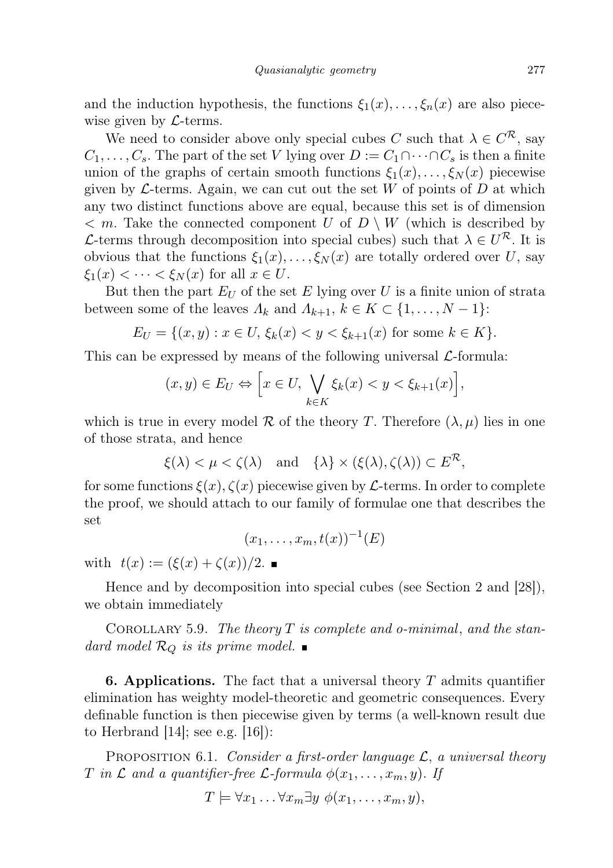and the induction hypothesis, the functions  $\xi_1(x), \ldots, \xi_n(x)$  are also piecewise given by  $\mathcal{L}$ -terms.

We need to consider above only special cubes C such that  $\lambda \in C^{\mathcal{R}}$ , say  $C_1, \ldots, C_s$ . The part of the set V lying over  $D := C_1 \cap \cdots \cap C_s$  is then a finite union of the graphs of certain smooth functions  $\xi_1(x), \ldots, \xi_N(x)$  piecewise given by  $\mathcal{L}$ -terms. Again, we can cut out the set W of points of D at which any two distinct functions above are equal, because this set is of dimension  $\langle m \rangle$ . Take the connected component U of  $D \setminus W$  (which is described by L-terms through decomposition into special cubes) such that  $\lambda \in U^{\mathcal{R}}$ . It is obvious that the functions  $\xi_1(x), \ldots, \xi_N(x)$  are totally ordered over U, say  $\xi_1(x) < \cdots < \xi_N(x)$  for all  $x \in U$ .

But then the part  $E_U$  of the set E lying over U is a finite union of strata between some of the leaves  $\Lambda_k$  and  $\Lambda_{k+1}$ ,  $k \in K \subset \{1, \ldots, N-1\}$ :

$$
E_U = \{(x, y) : x \in U, \xi_k(x) < y < \xi_{k+1}(x) \text{ for some } k \in K\}.
$$

This can be expressed by means of the following universal  $\mathcal{L}$ -formula:

$$
(x,y)\in E_U \Leftrightarrow \Big[x\in U, \bigvee_{k\in K}\xi_k(x)
$$

which is true in every model R of the theory T. Therefore  $(\lambda, \mu)$  lies in one of those strata, and hence

$$
\xi(\lambda) < \mu < \zeta(\lambda)
$$
 and  $\{\lambda\} \times (\xi(\lambda), \zeta(\lambda)) \subset E^{\mathcal{R}},$ 

for some functions  $\xi(x)$ ,  $\zeta(x)$  piecewise given by L-terms. In order to complete the proof, we should attach to our family of formulae one that describes the set

$$
(x_1,\ldots,x_m,t(x))^{-1}(E)
$$

with  $t(x) := (\xi(x) + \zeta(x))/2$ .

Hence and by decomposition into special cubes (see Section 2 and [28]), we obtain immediately

COROLLARY 5.9. The theory  $T$  is complete and o-minimal, and the standard model  $\mathcal{R}_Q$  is its prime model.

**6. Applications.** The fact that a universal theory  $T$  admits quantifier elimination has weighty model-theoretic and geometric consequences. Every definable function is then piecewise given by terms (a well-known result due to Herbrand  $[14]$ ; see e.g.  $[16]$ :

PROPOSITION 6.1. Consider a first-order language  $\mathcal{L}$ , a universal theory T in L and a quantifier-free L-formula  $\phi(x_1, \ldots, x_m, y)$ . If

$$
T \models \forall x_1 \ldots \forall x_m \exists y \ \phi(x_1, \ldots, x_m, y),
$$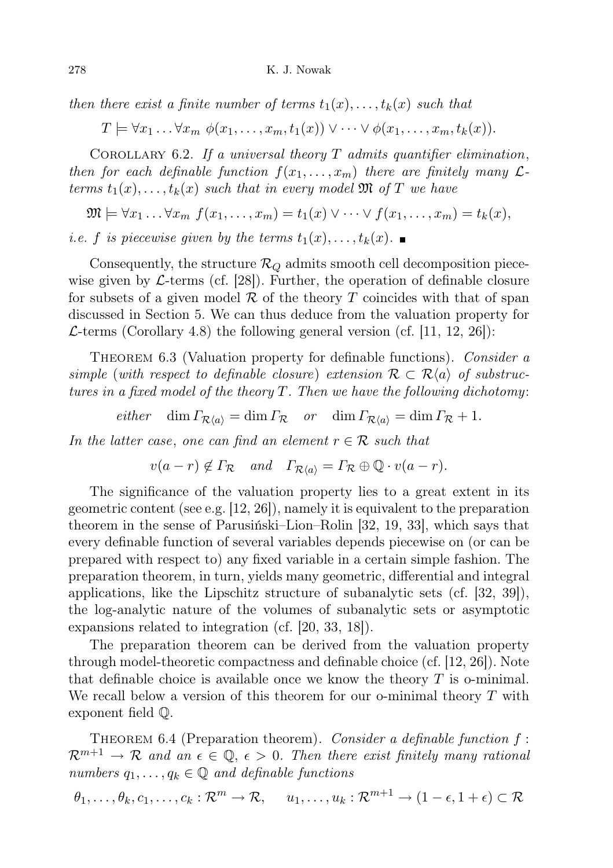then there exist a finite number of terms  $t_1(x), \ldots, t_k(x)$  such that

 $T \models \forall x_1 \ldots \forall x_m \phi(x_1, \ldots, x_m, t_1(x)) \vee \cdots \vee \phi(x_1, \ldots, x_m, t_k(x)).$ 

COROLLARY 6.2. If a universal theory  $T$  admits quantifier elimination, then for each definable function  $f(x_1, \ldots, x_m)$  there are finitely many  $\mathcal{L}$ terms  $t_1(x), \ldots, t_k(x)$  such that in every model  $\mathfrak{M}$  of T we have

$$
\mathfrak{M} \models \forall x_1 \ldots \forall x_m \ f(x_1, \ldots, x_m) = t_1(x) \vee \cdots \vee f(x_1, \ldots, x_m) = t_k(x),
$$

*i.e.* f is piecewise given by the terms  $t_1(x), \ldots, t_k(x)$ .

Consequently, the structure  $\mathcal{R}_Q$  admits smooth cell decomposition piecewise given by  $\mathcal{L}\text{-terms}$  (cf. [28]). Further, the operation of definable closure for subsets of a given model  $\mathcal R$  of the theory T coincides with that of span discussed in Section 5. We can thus deduce from the valuation property for  $\mathcal{L}$ -terms (Corollary 4.8) the following general version (cf. [11, 12, 26]):

THEOREM 6.3 (Valuation property for definable functions). Consider a simple (with respect to definable closure) extension  $\mathcal{R} \subset \mathcal{R}\langle a \rangle$  of substructures in a fixed model of the theory T. Then we have the following dichotomy:

either dim  $\Gamma_{\mathcal{R}(a)} = \dim \Gamma_{\mathcal{R}}$  or  $\dim \Gamma_{\mathcal{R}(a)} = \dim \Gamma_{\mathcal{R}} + 1$ .

In the latter case, one can find an element  $r \in \mathcal{R}$  such that

 $v(a - r) \notin \Gamma_{\mathcal{R}}$  and  $\Gamma_{\mathcal{R}(a)} = \Gamma_{\mathcal{R}} \oplus \mathbb{Q} \cdot v(a - r).$ 

The significance of the valuation property lies to a great extent in its geometric content (see e.g. [12, 26]), namely it is equivalent to the preparation theorem in the sense of Parusiński–Lion–Rolin [32, 19, 33], which says that every definable function of several variables depends piecewise on (or can be prepared with respect to) any fixed variable in a certain simple fashion. The preparation theorem, in turn, yields many geometric, differential and integral applications, like the Lipschitz structure of subanalytic sets (cf. [32, 39]), the log-analytic nature of the volumes of subanalytic sets or asymptotic expansions related to integration (cf. [20, 33, 18]).

The preparation theorem can be derived from the valuation property through model-theoretic compactness and definable choice (cf. [12, 26]). Note that definable choice is available once we know the theory  $T$  is o-minimal. We recall below a version of this theorem for our o-minimal theory  $T$  with exponent field Q.

THEOREM 6.4 (Preparation theorem). Consider a definable function  $f$ :  $\mathcal{R}^{m+1} \to \mathcal{R}$  and an  $\epsilon \in \mathbb{Q}, \epsilon > 0$ . Then there exist finitely many rational numbers  $q_1, \ldots, q_k \in \mathbb{Q}$  and definable functions

$$
\theta_1, \ldots, \theta_k, c_1, \ldots, c_k : \mathcal{R}^m \to \mathcal{R}, \quad u_1, \ldots, u_k : \mathcal{R}^{m+1} \to (1 - \epsilon, 1 + \epsilon) \subset \mathcal{R}
$$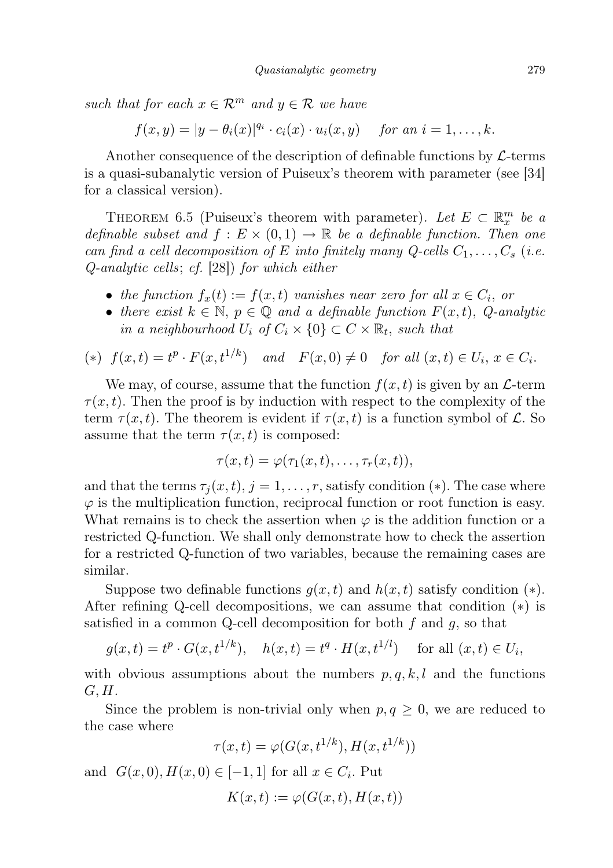such that for each  $x \in \mathcal{R}^m$  and  $y \in \mathcal{R}$  we have

 $f(x, y) = |y - \theta_i(x)|^{q_i} \cdot c_i(x) \cdot u_i(x, y)$  for an  $i = 1, ..., k$ .

Another consequence of the description of definable functions by  $\mathcal{L}$ -terms is a quasi-subanalytic version of Puiseux's theorem with parameter (see [34] for a classical version).

THEOREM 6.5 (Puiseux's theorem with parameter). Let  $E \subset \mathbb{R}^m_x$  be a definable subset and  $f : E \times (0,1) \to \mathbb{R}$  be a definable function. Then one can find a cell decomposition of E into finitely many Q-cells  $C_1, \ldots, C_s$  (i.e. Q-analytic cells; cf. [28]) for which either

- the function  $f_x(t) := f(x,t)$  vanishes near zero for all  $x \in C_i$ , or
- there exist  $k \in \mathbb{N}$ ,  $p \in \mathbb{Q}$  and a definable function  $F(x, t)$ , Q-analytic in a neighbourhood  $U_i$  of  $C_i \times \{0\} \subset C \times \mathbb{R}_t$ , such that

$$
(*)\ \ f(x,t) = t^p \cdot F(x,t^{1/k})\quad and\quad F(x,0) \neq 0\quad \text{for all } (x,t) \in U_i,\ x \in C_i.
$$

We may, of course, assume that the function  $f(x, t)$  is given by an  $\mathcal{L}$ -term  $\tau(x, t)$ . Then the proof is by induction with respect to the complexity of the term  $\tau(x,t)$ . The theorem is evident if  $\tau(x,t)$  is a function symbol of L. So assume that the term  $\tau(x, t)$  is composed:

$$
\tau(x,t)=\varphi(\tau_1(x,t),\ldots,\tau_r(x,t)),
$$

and that the terms  $\tau_i(x, t), j = 1, \ldots, r$ , satisfy condition (\*). The case where  $\varphi$  is the multiplication function, reciprocal function or root function is easy. What remains is to check the assertion when  $\varphi$  is the addition function or a restricted Q-function. We shall only demonstrate how to check the assertion for a restricted Q-function of two variables, because the remaining cases are similar.

Suppose two definable functions  $g(x, t)$  and  $h(x, t)$  satisfy condition  $(*)$ . After refining Q-cell decompositions, we can assume that condition (∗) is satisfied in a common Q-cell decomposition for both  $f$  and  $g$ , so that

$$
g(x,t) = t^p \cdot G(x, t^{1/k}), \quad h(x,t) = t^q \cdot H(x, t^{1/l}) \quad \text{for all } (x,t) \in U_i,
$$

with obvious assumptions about the numbers  $p, q, k, l$  and the functions  $G, H$ .

Since the problem is non-trivial only when  $p, q \geq 0$ , we are reduced to the case where

$$
\tau(x,t) = \varphi(G(x, t^{1/k}), H(x, t^{1/k}))
$$

and  $G(x, 0), H(x, 0) \in [-1, 1]$  for all  $x \in C_i$ . Put

$$
K(x,t) := \varphi(G(x,t), H(x,t))
$$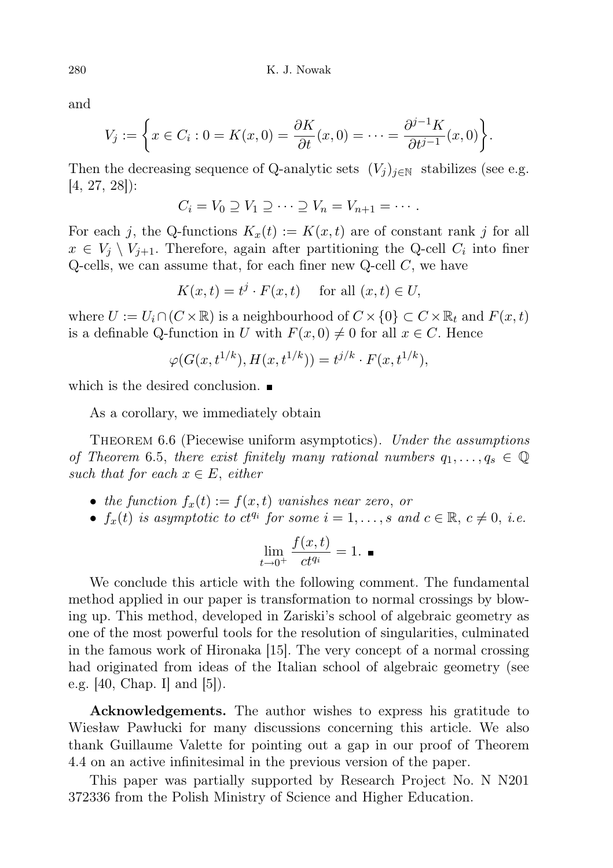and

$$
V_j := \left\{ x \in C_i : 0 = K(x,0) = \frac{\partial K}{\partial t}(x,0) = \dots = \frac{\partial^{j-1} K}{\partial t^{j-1}}(x,0) \right\}.
$$

Then the decreasing sequence of Q-analytic sets  $(V_i)_{i\in\mathbb{N}}$  stabilizes (see e.g. [4, 27, 28]):

$$
C_i = V_0 \supseteq V_1 \supseteq \cdots \supseteq V_n = V_{n+1} = \cdots.
$$

For each j, the Q-functions  $K_x(t) := K(x, t)$  are of constant rank j for all  $x \in V_j \setminus V_{j+1}$ . Therefore, again after partitioning the Q-cell  $C_i$  into finer Q-cells, we can assume that, for each finer new Q-cell  $C$ , we have

$$
K(x,t) = t^j \cdot F(x,t) \quad \text{ for all } (x,t) \in U,
$$

where  $U := U_i \cap (C \times \mathbb{R})$  is a neighbourhood of  $C \times \{0\} \subset C \times \mathbb{R}_t$  and  $F(x, t)$ is a definable Q-function in U with  $F(x, 0) \neq 0$  for all  $x \in C$ . Hence

$$
\varphi(G(x, t^{1/k}), H(x, t^{1/k})) = t^{j/k} \cdot F(x, t^{1/k}),
$$

which is the desired conclusion.  $\blacksquare$ 

As a corollary, we immediately obtain

THEOREM 6.6 (Piecewise uniform asymptotics). Under the assumptions of Theorem 6.5, there exist finitely many rational numbers  $q_1, \ldots, q_s \in \mathbb{Q}$ such that for each  $x \in E$ , either

- the function  $f_x(t) := f(x, t)$  vanishes near zero, or
- $f_x(t)$  is asymptotic to  $ct^{q_i}$  for some  $i = 1, \ldots, s$  and  $c \in \mathbb{R}, c \neq 0, i.e.$

$$
\lim_{t \to 0^+} \frac{f(x,t)}{ct^{q_i}} = 1. \blacksquare
$$

We conclude this article with the following comment. The fundamental method applied in our paper is transformation to normal crossings by blowing up. This method, developed in Zariski's school of algebraic geometry as one of the most powerful tools for the resolution of singularities, culminated in the famous work of Hironaka [15]. The very concept of a normal crossing had originated from ideas of the Italian school of algebraic geometry (see e.g. [40, Chap. I] and [5]).

Acknowledgements. The author wishes to express his gratitude to Wiesław Pawłucki for many discussions concerning this article. We also thank Guillaume Valette for pointing out a gap in our proof of Theorem 4.4 on an active infinitesimal in the previous version of the paper.

This paper was partially supported by Research Project No. N N201 372336 from the Polish Ministry of Science and Higher Education.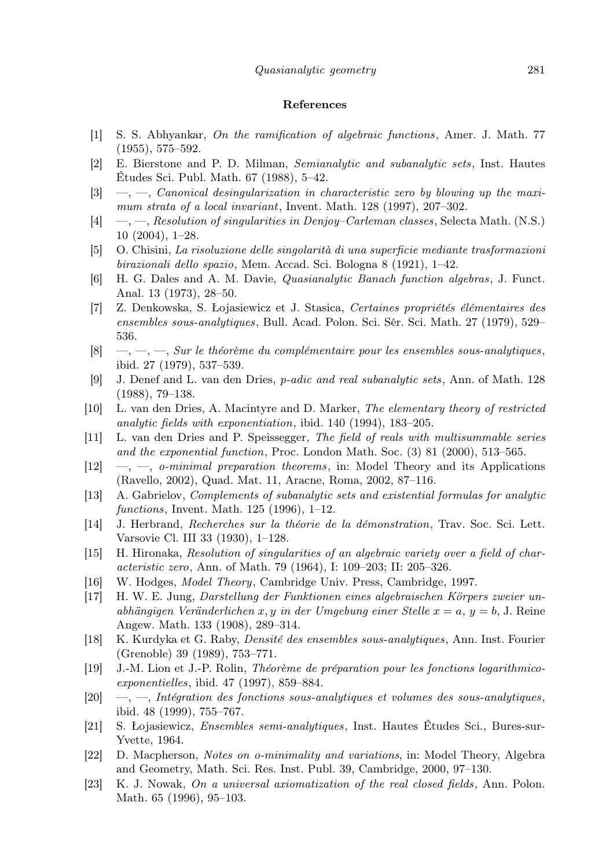## References

- [1] S. S. Abhyankar, On the ramification of algebraic functions, Amer. J. Math. 77 (1955), 575–592.
- [2] E. Bierstone and P. D. Milman, Semianalytic and subanalytic sets, Inst. Hautes Études Sci. Publ. Math. 67 (1988), 5–42.
- $[3] \quad -$ , Canonical desingularization in characteristic zero by blowing up the maximum strata of a local invariant, Invent. Math. 128 (1997), 207–302.
- [4] —, —, Resolution of singularities in Denjoy–Carleman classes, Selecta Math. (N.S.) 10 (2004), 1–28.
- [5] O. Chisini, La risoluzione delle singolarità di una superficie mediante trasformazioni birazionali dello spazio, Mem. Accad. Sci. Bologna 8 (1921), 1–42.
- [6] H. G. Dales and A. M. Davie, Quasianalytic Banach function algebras, J. Funct. Anal. 13 (1973), 28–50.
- [7] Z. Denkowska, S. Łojasiewicz et J. Stasica, Certaines propriétés élémentaires des ensembles sous-analytiques, Bull. Acad. Polon. Sci. Sér. Sci. Math. 27 (1979), 529– 536.
- $[8] \quad -,-,-$ , Sur le théorème du complémentaire pour les ensembles sous-analytiques, ibid. 27 (1979), 537–539.
- [9] J. Denef and L. van den Dries, p-adic and real subanalytic sets, Ann. of Math. 128 (1988), 79–138.
- [10] L. van den Dries, A. Macintyre and D. Marker, The elementary theory of restricted analytic fields with exponentiation, ibid. 140 (1994), 183–205.
- [11] L. van den Dries and P. Speissegger, The field of reals with multisummable series and the exponential function, Proc. London Math. Soc. (3) 81 (2000), 513–565.
- [12] —, —, o-minimal preparation theorems, in: Model Theory and its Applications (Ravello, 2002), Quad. Mat. 11, Aracne, Roma, 2002, 87–116.
- [13] A. Gabrielov, Complements of subanalytic sets and existential formulas for analytic functions, Invent. Math. 125 (1996), 1–12.
- [14] J. Herbrand, Recherches sur la théorie de la démonstration, Trav. Soc. Sci. Lett. Varsovie Cl. III 33 (1930), 1–128.
- [15] H. Hironaka, Resolution of singularities of an algebraic variety over a field of characteristic zero, Ann. of Math. 79 (1964), I: 109–203; II: 205–326.
- [16] W. Hodges, *Model Theory*, Cambridge Univ. Press, Cambridge, 1997.
- [17] H. W. E. Jung, Darstellung der Funktionen eines algebraischen Körpers zweier unabhängigen Veränderlichen x, y in der Umgebung einer Stelle  $x = a$ ,  $y = b$ , J. Reine Angew. Math. 133 (1908), 289–314.
- [18] K. Kurdyka et G. Raby, Densité des ensembles sous-analytiques, Ann. Inst. Fourier (Grenoble) 39 (1989), 753–771.
- [19] J.-M. Lion et J.-P. Rolin, Théorème de préparation pour les fonctions logarithmicoexponentielles, ibid. 47 (1997), 859–884.
- $[20] \quad -$ , Intégration des fonctions sous-analytiques et volumes des sous-analytiques, ibid. 48 (1999), 755–767.
- [21] S. Łojasiewicz, Ensembles semi-analytiques, Inst. Hautes Études Sci., Bures-sur-Yvette, 1964.
- [22] D. Macpherson, Notes on o-minimality and variations, in: Model Theory, Algebra and Geometry, Math. Sci. Res. Inst. Publ. 39, Cambridge, 2000, 97–130.
- [23] K. J. Nowak, On a universal axiomatization of the real closed fields, Ann. Polon. Math. 65 (1996), 95–103.